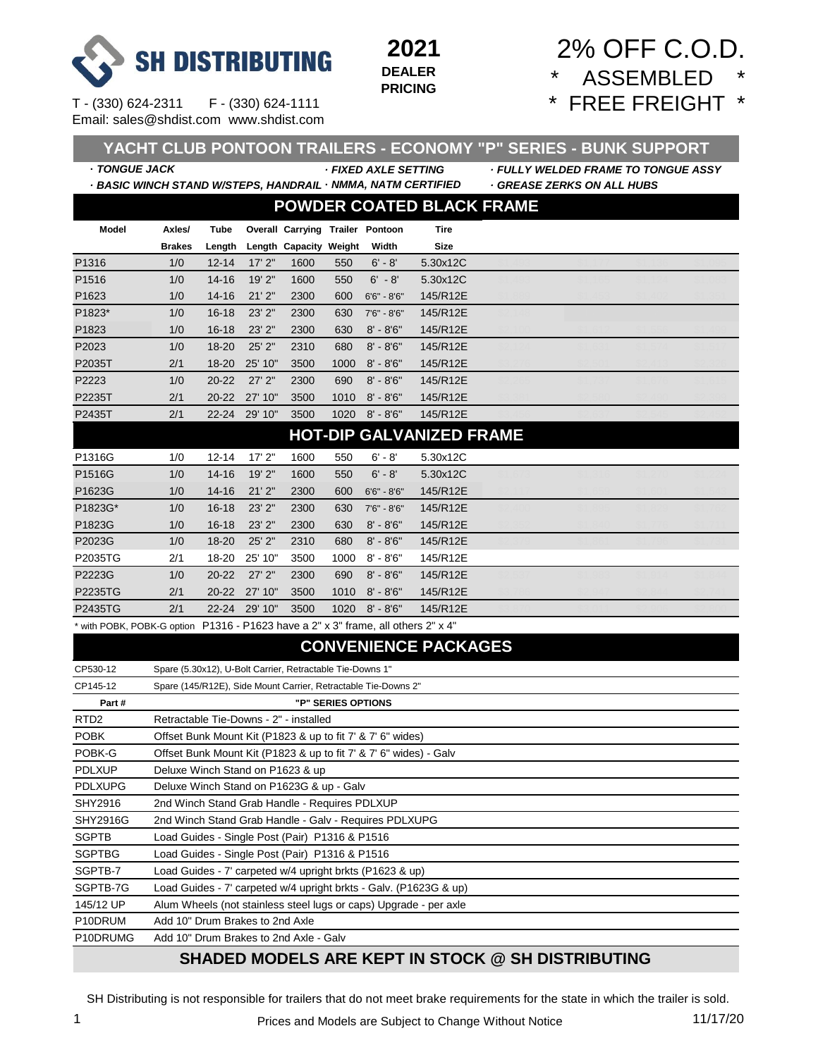

 **2021 DEALER PRICING**

## 2% OFF C.O.D. ASSEMBLED \* FREE FREIGHT \*

## **YACHT CLUB PONTOON TRAILERS - ECONOMY "P" SERIES - BUNK SUPPORT**

 **·** *TONGUE JACK · FIXED AXLE SETTING · FULLY WELDED FRAME TO TONGUE ASSY*

 *· BASIC WINCH STAND W/STEPS, HANDRAIL* **·** *NMMA, NATM CERTIFIED · GREASE ZERKS ON ALL HUBS*

#### **POWDER COATED BLACK FRAME**

| Model  | Axles/        | Tube      |               | Overall Carrying Trailer Pontoon |      |                 | Tire     |  |  |
|--------|---------------|-----------|---------------|----------------------------------|------|-----------------|----------|--|--|
|        | <b>Brakes</b> | Length    |               | Length Capacity Weight           |      | Width           | Size     |  |  |
| P1316  | 1/0           | $12 - 14$ | 17'2"         | 1600                             | 550  | $6' - 8'$       | 5.30x12C |  |  |
| P1516  | 1/0           | $14 - 16$ | 19'2"         | 1600                             | 550  | $6' - 8'$       | 5.30x12C |  |  |
| P1623  | 1/0           | $14 - 16$ | 21'2"         | 2300                             | 600  | $6'6'' - 8'6''$ | 145/R12E |  |  |
| P1823* | 1/0           | $16 - 18$ | 23'2"         | 2300                             | 630  | 7'6" - 8'6"     | 145/R12E |  |  |
| P1823  | 1/0           | $16 - 18$ | 23'2''        | 2300                             | 630  | $8' - 8'6''$    | 145/R12E |  |  |
| P2023  | 1/0           | $18 - 20$ | $25'$ $2"$    | 2310                             | 680  | $8' - 8'6''$    | 145/R12E |  |  |
| P2035T | 2/1           | 18-20     | 25' 10"       | 3500                             | 1000 | $8'$ - $8'6"$   | 145/R12E |  |  |
| P2223  | 1/0           | $20 - 22$ | $27'$ $2"$    | 2300                             | 690  | $8' - 8'6''$    | 145/R12E |  |  |
| P2235T | 2/1           |           | 20-22 27' 10" | 3500                             | 1010 | $8' - 8'6''$    | 145/R12E |  |  |
| P2435T | 2/1           | $22 - 24$ | 29' 10"       | 3500                             | 1020 | $8' - 8'6''$    | 145/R12E |  |  |

#### **HOT-DIP GALVANIZED FRAME**

| P1316G  | 1/0 | $12 - 14$ | 17'2"         | 1600 | 550  | $6' - 8'$       | 5.30x12C |  |  |
|---------|-----|-----------|---------------|------|------|-----------------|----------|--|--|
| P1516G  | 1/0 | $14 - 16$ | 19'2"         | 1600 | 550  | $6' - 8'$       | 5.30x12C |  |  |
| P1623G  | 1/0 | $14 - 16$ | 21'2"         | 2300 | 600  | $6'6'' - 8'6''$ | 145/R12E |  |  |
| P1823G* | 1/0 | $16 - 18$ | 23'2''        | 2300 | 630  | $7'6'' - 8'6''$ | 145/R12E |  |  |
| P1823G  | 1/0 | $16 - 18$ | 23'2"         | 2300 | 630  | $8' - 8'6''$    | 145/R12E |  |  |
| P2023G  | 1/0 | $18 - 20$ | $25'$ $2"$    | 2310 | 680  | $8' - 8'6''$    | 145/R12E |  |  |
| P2035TG | 2/1 | 18-20     | 25' 10"       | 3500 | 1000 | $8'$ - $8'6"$   | 145/R12E |  |  |
| P2223G  | 1/0 | $20 - 22$ | $27'$ $2"$    | 2300 | 690  | $8' - 8'6''$    | 145/R12E |  |  |
| P2235TG | 2/1 |           | 20-22 27' 10" | 3500 | 1010 | $8' - 8'6''$    | 145/R12E |  |  |
| P2435TG | 2/1 | $22 - 24$ | 29' 10"       | 3500 | 1020 | $8' - 8'6''$    | 145/R12E |  |  |

\* with POBK, POBK-G option P1316 - P1623 have a 2" x 3" frame, all others 2" x 4"

#### **CONVENIENCE PACKAGES**

| CP530-12              | Spare (5.30x12), U-Bolt Carrier, Retractable Tie-Downs 1"         |
|-----------------------|-------------------------------------------------------------------|
| CP145-12              | Spare (145/R12E), Side Mount Carrier, Retractable Tie-Downs 2"    |
| Part#                 | "P" SERIES OPTIONS                                                |
| RTD <sub>2</sub>      | Retractable Tie-Downs - 2" - installed                            |
| <b>POBK</b>           | Offset Bunk Mount Kit (P1823 & up to fit 7' & 7' 6" wides)        |
| POBK-G                | Offset Bunk Mount Kit (P1823 & up to fit 7' & 7' 6" wides) - Galv |
| <b>PDLXUP</b>         | Deluxe Winch Stand on P1623 & up                                  |
| <b>PDLXUPG</b>        | Deluxe Winch Stand on P1623G & up - Galv                          |
| SHY2916               | 2nd Winch Stand Grab Handle - Requires PDLXUP                     |
| <b>SHY2916G</b>       | 2nd Winch Stand Grab Handle - Galv - Requires PDLXUPG             |
| <b>SGPTB</b>          | Load Guides - Single Post (Pair) P1316 & P1516                    |
| <b>SGPTBG</b>         | Load Guides - Single Post (Pair) P1316 & P1516                    |
| SGPTB-7               | Load Guides - 7' carpeted w/4 upright brkts (P1623 & up)          |
| SGPTB-7G              | Load Guides - 7' carpeted w/4 upright brkts - Galv. (P1623G & up) |
| 145/12 UP             | Alum Wheels (not stainless steel lugs or caps) Upgrade - per axle |
| P <sub>10</sub> DRUM  | Add 10" Drum Brakes to 2nd Axle                                   |
| P <sub>10</sub> DRUMG | Add 10" Drum Brakes to 2nd Axle - Galv                            |

#### **SHADED MODELS ARE KEPT IN STOCK @ SH DISTRIBUTING**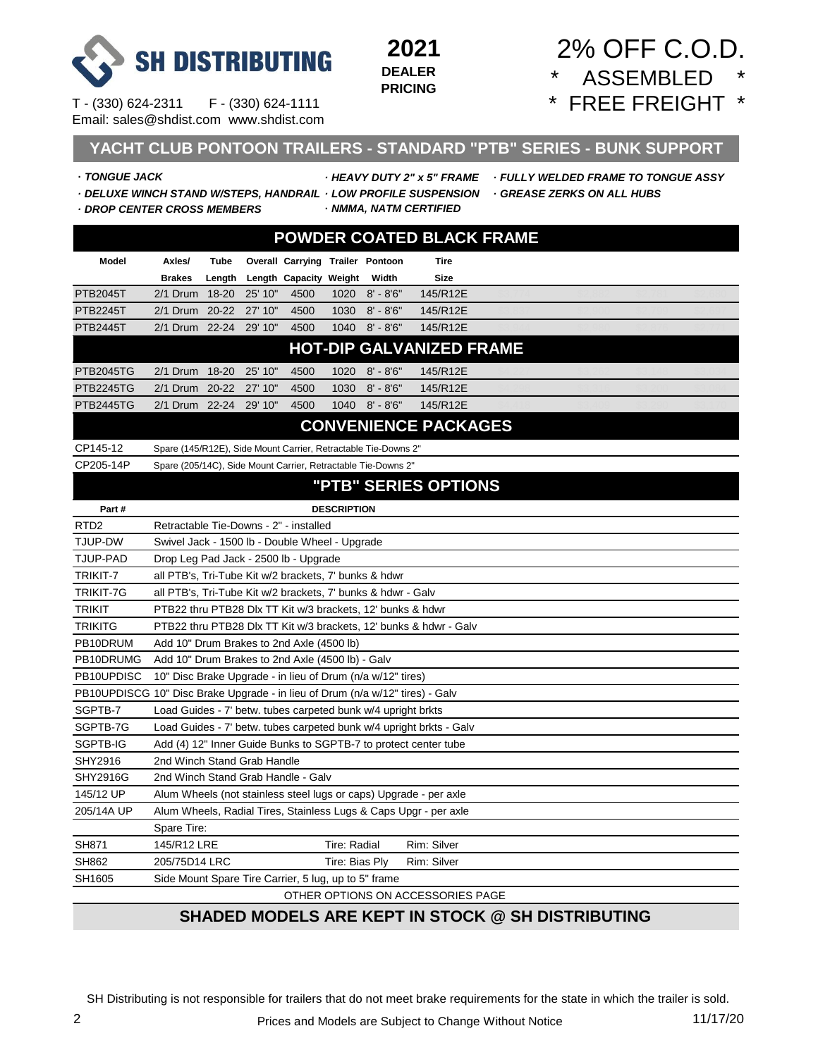

## 2% OFF C.O.D. ASSEMBLED \* FREE FREIGHT \*

T - (330) 624-2311 F - (330) 624-1111 Email: sales@shdist.com www.shdist.com

#### **YACHT CLUB PONTOON TRAILERS - STANDARD "PTB" SERIES - BUNK SUPPORT**

 **·** *TONGUE JACK · HEAVY DUTY 2" x 5" FRAME · FULLY WELDED FRAME TO TONGUE ASSY · DELUXE WINCH STAND W/STEPS, HANDRAIL · LOW PROFILE SUSPENSION · GREASE ZERKS ON ALL HUBS*

- 
- *· DROP CENTER CROSS MEMBERS* **·** *NMMA, NATM CERTIFIED*

|                  | <b>POWDER COATED BLACK FRAME</b> |        |         |                                  |      |               |                                 |  |  |  |  |  |  |  |
|------------------|----------------------------------|--------|---------|----------------------------------|------|---------------|---------------------------------|--|--|--|--|--|--|--|
| <b>Model</b>     | Axles/                           | Tube   |         | Overall Carrying Trailer Pontoon |      |               | Tire                            |  |  |  |  |  |  |  |
|                  | <b>Brakes</b>                    | Length |         | Length Capacity Weight           |      | Width         | Size                            |  |  |  |  |  |  |  |
| <b>PTB2045T</b>  | $2/1$ Drum                       | 18-20  | 25' 10" | 4500                             | 1020 | 8' - 8'6"     | 145/R12E                        |  |  |  |  |  |  |  |
| <b>PTB2245T</b>  | 2/1 Drum 20-22 27' 10"           |        |         | 4500                             | 1030 | $8'$ - $8'6"$ | 145/R12E                        |  |  |  |  |  |  |  |
| <b>PTB2445T</b>  | 2/1 Drum 22-24                   |        | 29' 10" | 4500                             | 1040 | $8' - 8'6''$  | 145/R12E                        |  |  |  |  |  |  |  |
|                  |                                  |        |         |                                  |      |               | <b>HOT-DIP GALVANIZED FRAME</b> |  |  |  |  |  |  |  |
| <b>PTB2045TG</b> | $2/1$ Drum                       | 18-20  | 25' 10" | 4500                             | 1020 | $8' - 8'6''$  | 145/R12E                        |  |  |  |  |  |  |  |
| <b>PTB2245TG</b> | 2/1 Drum 20-22 27' 10"           |        |         | 4500                             | 1030 | $8' - 8'6''$  | 145/R12E                        |  |  |  |  |  |  |  |
| <b>PTB2445TG</b> | 2/1 Drum 22-24                   |        | 29' 10" | 4500                             | 1040 | $8' - 8'6''$  | 145/R12E                        |  |  |  |  |  |  |  |

#### **CONVENIENCE PACKAGES**

CP145-12 Spare (145/R12E), Side Mount Carrier, Retractable Tie-Downs 2"

CP205-14P Spare (205/14C), Side Mount Carrier, Retractable Tie-Downs 2"

#### **"PTB" SERIES OPTIONS**

| Part#            | <b>DESCRIPTION</b>                                                            |  |  |  |  |  |  |  |  |  |
|------------------|-------------------------------------------------------------------------------|--|--|--|--|--|--|--|--|--|
| RTD <sub>2</sub> | Retractable Tie-Downs - 2" - installed                                        |  |  |  |  |  |  |  |  |  |
| TJUP-DW          | Swivel Jack - 1500 lb - Double Wheel - Upgrade                                |  |  |  |  |  |  |  |  |  |
| TJUP-PAD         | Drop Leg Pad Jack - 2500 lb - Upgrade                                         |  |  |  |  |  |  |  |  |  |
| TRIKIT-7         | all PTB's, Tri-Tube Kit w/2 brackets, 7' bunks & hdwr                         |  |  |  |  |  |  |  |  |  |
| <b>TRIKIT-7G</b> | all PTB's, Tri-Tube Kit w/2 brackets, 7' bunks & hdwr - Galv                  |  |  |  |  |  |  |  |  |  |
| <b>TRIKIT</b>    | PTB22 thru PTB28 Dlx TT Kit w/3 brackets, 12' bunks & hdwr                    |  |  |  |  |  |  |  |  |  |
| <b>TRIKITG</b>   | PTB22 thru PTB28 Dlx TT Kit w/3 brackets, 12' bunks & hdwr - Galv             |  |  |  |  |  |  |  |  |  |
| PB10DRUM         | Add 10" Drum Brakes to 2nd Axle (4500 lb)                                     |  |  |  |  |  |  |  |  |  |
| PB10DRUMG        | Add 10" Drum Brakes to 2nd Axle (4500 lb) - Galv                              |  |  |  |  |  |  |  |  |  |
| PB10UPDISC       | 10" Disc Brake Upgrade - in lieu of Drum (n/a w/12" tires)                    |  |  |  |  |  |  |  |  |  |
|                  | PB10UPDISCG 10" Disc Brake Upgrade - in lieu of Drum (n/a w/12" tires) - Galv |  |  |  |  |  |  |  |  |  |
| SGPTB-7          | Load Guides - 7' betw. tubes carpeted bunk w/4 upright brkts                  |  |  |  |  |  |  |  |  |  |
| SGPTB-7G         | Load Guides - 7' betw. tubes carpeted bunk w/4 upright brkts - Galv           |  |  |  |  |  |  |  |  |  |
| SGPTB-IG         | Add (4) 12" Inner Guide Bunks to SGPTB-7 to protect center tube               |  |  |  |  |  |  |  |  |  |
| SHY2916          | 2nd Winch Stand Grab Handle                                                   |  |  |  |  |  |  |  |  |  |
| <b>SHY2916G</b>  | 2nd Winch Stand Grab Handle - Galv                                            |  |  |  |  |  |  |  |  |  |
| 145/12 UP        | Alum Wheels (not stainless steel lugs or caps) Upgrade - per axle             |  |  |  |  |  |  |  |  |  |
| 205/14A UP       | Alum Wheels, Radial Tires, Stainless Lugs & Caps Upgr - per axle              |  |  |  |  |  |  |  |  |  |
|                  | Spare Tire:                                                                   |  |  |  |  |  |  |  |  |  |
| <b>SH871</b>     | 145/R12 LRE<br>Tire: Radial<br>Rim: Silver                                    |  |  |  |  |  |  |  |  |  |
| <b>SH862</b>     | 205/75D14 LRC<br>Rim: Silver<br>Tire: Bias Ply                                |  |  |  |  |  |  |  |  |  |
| SH1605           | Side Mount Spare Tire Carrier, 5 lug, up to 5" frame                          |  |  |  |  |  |  |  |  |  |
|                  | OTHER OPTIONS ON ACCESSORIES PAGE                                             |  |  |  |  |  |  |  |  |  |

#### **SHADED MODELS ARE KEPT IN STOCK @ SH DISTRIBUTING**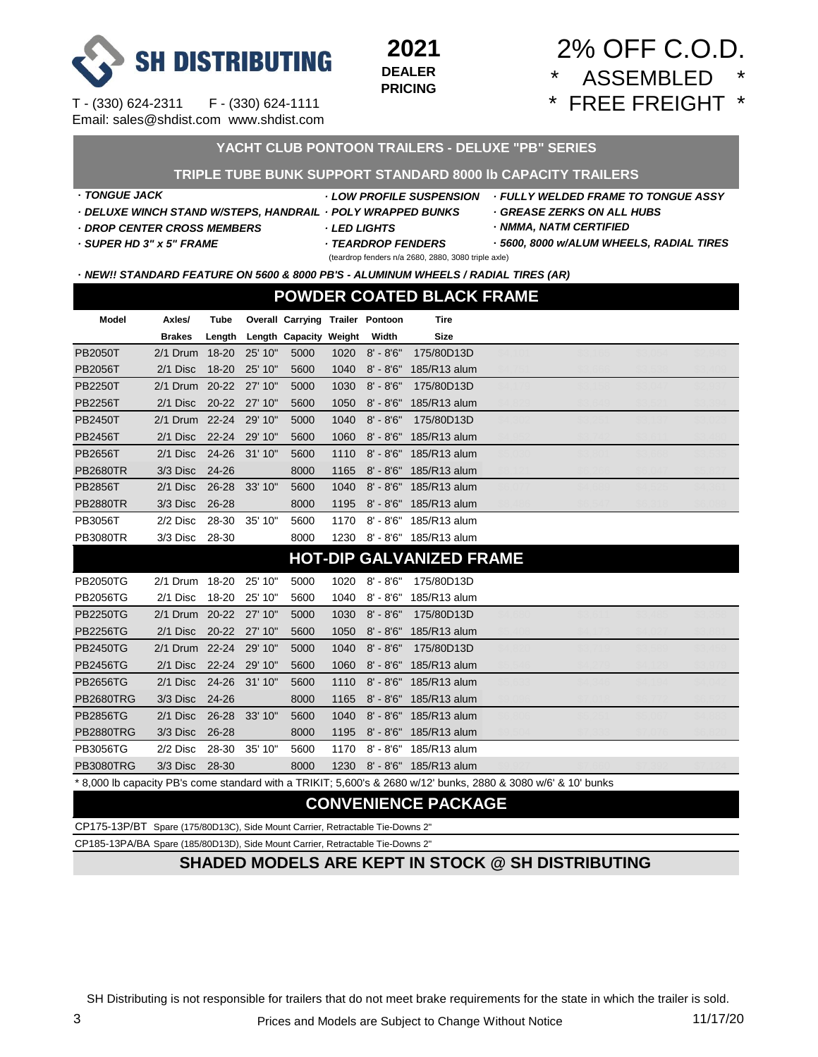

#### **2021 DEALER PRICING**

## 2% OFF C.O.D. \* ASSEMBLED \* \* FREE FREIGHT \*

| YACHT CLUB PONTOON TRAILERS - DELUXE "PB" SERIES                   |                        |             |               |                                  |                     |                    |                                                                                                                |                                          |                                          |  |  |  |  |
|--------------------------------------------------------------------|------------------------|-------------|---------------|----------------------------------|---------------------|--------------------|----------------------------------------------------------------------------------------------------------------|------------------------------------------|------------------------------------------|--|--|--|--|
| <b>TRIPLE TUBE BUNK SUPPORT STANDARD 8000 Ib CAPACITY TRAILERS</b> |                        |             |               |                                  |                     |                    |                                                                                                                |                                          |                                          |  |  |  |  |
| · TONGUE JACK                                                      |                        |             |               |                                  |                     |                    | <b>LOW PROFILE SUSPENSION</b>                                                                                  |                                          | <b>FULLY WELDED FRAME TO TONGUE ASSY</b> |  |  |  |  |
| ⋅ DELUXE WINCH STAND W/STEPS, HANDRAIL ⋅ POLY WRAPPED BUNKS        |                        |             |               |                                  |                     |                    |                                                                                                                | <b>GREASE ZERKS ON ALL HUBS</b>          |                                          |  |  |  |  |
| . DROP CENTER CROSS MEMBERS                                        |                        |             |               |                                  | <b>· LED LIGHTS</b> |                    |                                                                                                                | · NMMA, NATM CERTIFIED                   |                                          |  |  |  |  |
| · SUPER HD 3" x 5" FRAME                                           |                        |             |               |                                  |                     | · TEARDROP FENDERS |                                                                                                                | - 5600, 8000 w/ALUM WHEELS, RADIAL TIRES |                                          |  |  |  |  |
|                                                                    |                        |             |               |                                  |                     |                    | (teardrop fenders n/a 2680, 2880, 3080 triple axle)                                                            |                                          |                                          |  |  |  |  |
|                                                                    |                        |             |               |                                  |                     |                    | · NEW!! STANDARD FEATURE ON 5600 & 8000 PB'S - ALUMINUM WHEELS / RADIAL TIRES (AR)                             |                                          |                                          |  |  |  |  |
| <b>POWDER COATED BLACK FRAME</b>                                   |                        |             |               |                                  |                     |                    |                                                                                                                |                                          |                                          |  |  |  |  |
| <b>Model</b>                                                       | Axles/                 | <b>Tube</b> |               | Overall Carrying Trailer Pontoon |                     |                    | <b>Tire</b>                                                                                                    |                                          |                                          |  |  |  |  |
|                                                                    | <b>Brakes</b>          | Length      |               | Length Capacity Weight           |                     | Width              | <b>Size</b>                                                                                                    |                                          |                                          |  |  |  |  |
| <b>PB2050T</b>                                                     | 2/1 Drum 18-20         |             | 25' 10"       | 5000                             | 1020                | $8' - 8'6''$       | 175/80D13D                                                                                                     |                                          |                                          |  |  |  |  |
| <b>PB2056T</b>                                                     | 2/1 Disc               | $18 - 20$   | 25' 10"       | 5600                             | 1040                | 8' - 8'6"          | 185/R13 alum                                                                                                   |                                          |                                          |  |  |  |  |
| <b>PB2250T</b>                                                     | 2/1 Drum 20-22 27' 10" |             |               | 5000                             | 1030                | $8' - 8'6''$       | 175/80D13D                                                                                                     |                                          |                                          |  |  |  |  |
| <b>PB2256T</b>                                                     | 2/1 Disc               | 20-22       | 27' 10"       | 5600                             | 1050                | $8' - 8'6''$       | 185/R13 alum                                                                                                   |                                          |                                          |  |  |  |  |
| <b>PB2450T</b>                                                     | 2/1 Drum 22-24         |             | 29' 10"       | 5000                             | 1040                | $8' - 8'6''$       | 175/80D13D                                                                                                     |                                          |                                          |  |  |  |  |
| <b>PB2456T</b>                                                     | 2/1 Disc 22-24         |             | 29' 10"       | 5600                             | 1060                | 8' - 8'6"          | 185/R13 alum                                                                                                   |                                          |                                          |  |  |  |  |
| <b>PB2656T</b>                                                     | $2/1$ Disc             | 24-26       | 31' 10"       | 5600                             | 1110                |                    | 8' - 8'6" 185/R13 alum                                                                                         |                                          |                                          |  |  |  |  |
| <b>PB2680TR</b>                                                    | 3/3 Disc               | 24-26       |               | 8000                             | 1165                | $8'$ - $8'6''$     | 185/R13 alum                                                                                                   |                                          |                                          |  |  |  |  |
| <b>PB2856T</b>                                                     | $2/1$ Disc             |             | 26-28 33' 10" | 5600                             | 1040                | $8' - 8'6''$       | 185/R13 alum                                                                                                   |                                          |                                          |  |  |  |  |
| <b>PB2880TR</b>                                                    | 3/3 Disc               | 26-28       |               | 8000                             | 1195                | $8'$ - $8'6"$      | 185/R13 alum                                                                                                   |                                          |                                          |  |  |  |  |
| <b>PB3056T</b>                                                     | 2/2 Disc               |             | 28-30 35' 10" | 5600                             | 1170                | $8' - 8'6''$       | 185/R13 alum                                                                                                   |                                          |                                          |  |  |  |  |
| <b>PB3080TR</b>                                                    | 3/3 Disc 28-30         |             |               | 8000                             |                     |                    | 1230 8' - 8'6" 185/R13 alum                                                                                    |                                          |                                          |  |  |  |  |
|                                                                    |                        |             |               |                                  |                     |                    | <b>HOT-DIP GALVANIZED FRAME</b>                                                                                |                                          |                                          |  |  |  |  |
| <b>PB2050TG</b>                                                    | 2/1 Drum 18-20         |             | 25' 10"       | 5000                             | 1020                | $8'$ - $8'6"$      | 175/80D13D                                                                                                     |                                          |                                          |  |  |  |  |
| <b>PB2056TG</b>                                                    | 2/1 Disc               | 18-20       | 25' 10"       | 5600                             | 1040                | 8' - 8'6"          | 185/R13 alum                                                                                                   |                                          |                                          |  |  |  |  |
| <b>PB2250TG</b>                                                    | 2/1 Drum 20-22 27' 10" |             |               | 5000                             | 1030                | $8' - 8'6''$       | 175/80D13D                                                                                                     |                                          |                                          |  |  |  |  |
| <b>PB2256TG</b>                                                    | $2/1$ Disc             | $20 - 22$   | 27' 10"       | 5600                             | 1050                | $8' - 8'6''$       | 185/R13 alum                                                                                                   |                                          |                                          |  |  |  |  |
| <b>PB2450TG</b>                                                    | 2/1 Drum 22-24         |             | 29' 10"       | 5000                             | 1040                | $8'$ - $8'6"$      | 175/80D13D                                                                                                     |                                          |                                          |  |  |  |  |
| <b>PB2456TG</b>                                                    | $2/1$ Disc             | $22 - 24$   | 29' 10"       | 5600                             | 1060                | $8' - 8'6''$       | 185/R13 alum                                                                                                   |                                          |                                          |  |  |  |  |
| <b>PB2656TG</b>                                                    | $2/1$ Disc             | 24-26       | 31' 10"       | 5600                             | 1110                |                    | 8' - 8'6" 185/R13 alum                                                                                         |                                          |                                          |  |  |  |  |
| <b>PB2680TRG</b>                                                   | 3/3 Disc               | 24-26       |               | 8000                             | 1165                | $8' - 8'6''$       | 185/R13 alum                                                                                                   |                                          |                                          |  |  |  |  |
| <b>PB2856TG</b>                                                    | $2/1$ Disc             | $26 - 28$   | 33' 10"       | 5600                             | 1040                |                    | 8' - 8'6" 185/R13 alum                                                                                         |                                          |                                          |  |  |  |  |
| <b>PB2880TRG</b>                                                   | 3/3 Disc               | 26-28       |               | 8000                             | 1195                | $8' - 8'6''$       | 185/R13 alum                                                                                                   |                                          |                                          |  |  |  |  |
| <b>PB3056TG</b>                                                    | 2/2 Disc               |             | 28-30 35' 10" | 5600                             | 1170                | $8' - 8'6''$       | 185/R13 alum                                                                                                   |                                          |                                          |  |  |  |  |
| <b>PB3080TRG</b>                                                   | 3/3 Disc               | 28-30       |               | 8000                             | 1230                |                    | 8' - 8'6" 185/R13 alum                                                                                         |                                          |                                          |  |  |  |  |
|                                                                    |                        |             |               |                                  |                     |                    | * 8,000 lb capacity PB's come standard with a TRIKIT; 5,600's & 2680 w/12' bunks, 2880 & 3080 w/6' & 10' bunks |                                          |                                          |  |  |  |  |

#### **CONVENIENCE PACKAGE**

CP175-13P/BT Spare (175/80D13C), Side Mount Carrier, Retractable Tie-Downs 2"

CP185-13PA/BA Spare (185/80D13D), Side Mount Carrier, Retractable Tie-Downs 2"

#### **SHADED MODELS ARE KEPT IN STOCK @ SH DISTRIBUTING**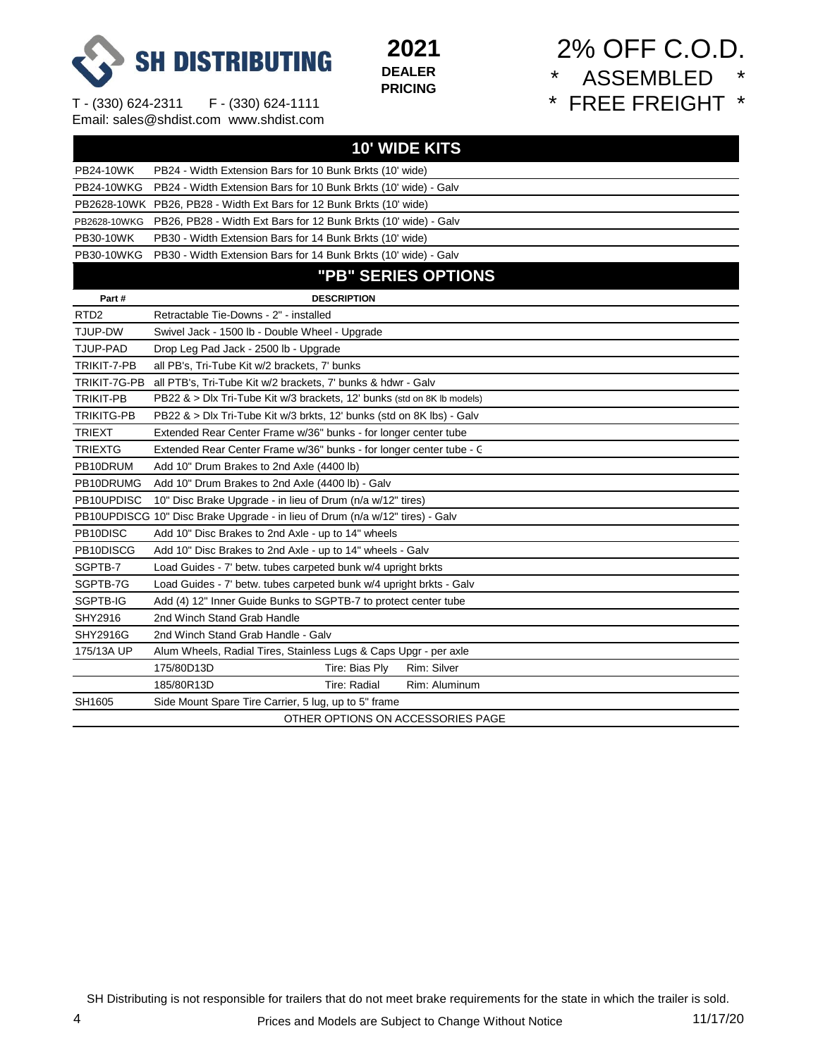

| 2021           |
|----------------|
| <b>DEALER</b>  |
| <b>PRICING</b> |

## 2% OFF C.O.D. \* ASSEMBLED \* \* FREE FREIGHT \*

|                   | 10' WIDE KITS                                                                 |
|-------------------|-------------------------------------------------------------------------------|
| <b>PB24-10WK</b>  | PB24 - Width Extension Bars for 10 Bunk Brkts (10' wide)                      |
| <b>PB24-10WKG</b> | PB24 - Width Extension Bars for 10 Bunk Brkts (10' wide) - Galv               |
|                   | PB2628-10WK PB26, PB28 - Width Ext Bars for 12 Bunk Brkts (10' wide)          |
| PB2628-10WKG      | PB26, PB28 - Width Ext Bars for 12 Bunk Brkts (10' wide) - Galv               |
| PB30-10WK         | PB30 - Width Extension Bars for 14 Bunk Brkts (10' wide)                      |
| <b>PB30-10WKG</b> | PB30 - Width Extension Bars for 14 Bunk Brkts (10' wide) - Galv               |
|                   | "PB" SERIES OPTIONS                                                           |
| Part#             | <b>DESCRIPTION</b>                                                            |
| RTD <sub>2</sub>  | Retractable Tie-Downs - 2" - installed                                        |
| TJUP-DW           | Swivel Jack - 1500 lb - Double Wheel - Upgrade                                |
| TJUP-PAD          | Drop Leg Pad Jack - 2500 lb - Upgrade                                         |
| TRIKIT-7-PB       | all PB's, Tri-Tube Kit w/2 brackets, 7' bunks                                 |
| TRIKIT-7G-PB      | all PTB's, Tri-Tube Kit w/2 brackets, 7' bunks & hdwr - Galv                  |
| <b>TRIKIT-PB</b>  | PB22 & > Dlx Tri-Tube Kit w/3 brackets, 12' bunks (std on 8K lb models)       |
| TRIKITG-PB        | PB22 & > Dlx Tri-Tube Kit w/3 brkts, 12' bunks (std on 8K lbs) - Galv         |
| <b>TRIEXT</b>     | Extended Rear Center Frame w/36" bunks - for longer center tube               |
| <b>TRIEXTG</b>    | Extended Rear Center Frame w/36" bunks - for longer center tube - C           |
| PB10DRUM          | Add 10" Drum Brakes to 2nd Axle (4400 lb)                                     |
| PB10DRUMG         | Add 10" Drum Brakes to 2nd Axle (4400 lb) - Galv                              |
| PB10UPDISC        | 10" Disc Brake Upgrade - in lieu of Drum (n/a w/12" tires)                    |
|                   | PB10UPDISCG 10" Disc Brake Upgrade - in lieu of Drum (n/a w/12" tires) - Galv |
| PB10DISC          | Add 10" Disc Brakes to 2nd Axle - up to 14" wheels                            |
| PB10DISCG         | Add 10" Disc Brakes to 2nd Axle - up to 14" wheels - Galv                     |
| SGPTB-7           | Load Guides - 7' betw. tubes carpeted bunk w/4 upright brkts                  |
| SGPTB-7G          | Load Guides - 7' betw. tubes carpeted bunk w/4 upright brkts - Galv           |
| SGPTB-IG          | Add (4) 12" Inner Guide Bunks to SGPTB-7 to protect center tube               |
| SHY2916           | 2nd Winch Stand Grab Handle                                                   |
| <b>SHY2916G</b>   | 2nd Winch Stand Grab Handle - Galv                                            |
| 175/13A UP        | Alum Wheels, Radial Tires, Stainless Lugs & Caps Upgr - per axle              |
|                   | 175/80D13D<br>Tire: Bias Ply<br>Rim: Silver                                   |
|                   | Tire: Radial<br>185/80R13D<br>Rim: Aluminum                                   |
| SH1605            | Side Mount Spare Tire Carrier, 5 lug, up to 5" frame                          |
|                   | OTHER OPTIONS ON ACCESSORIES PAGE                                             |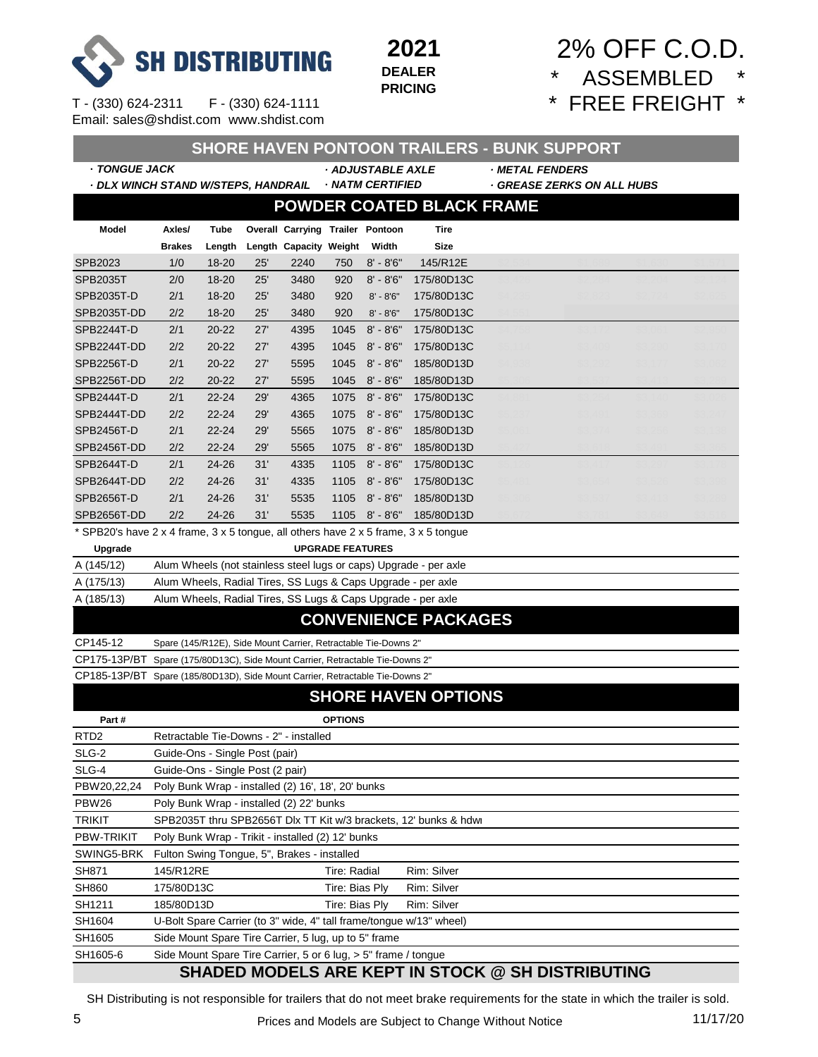



|                                                                                     |                                                                |           |     |                                         |                         |                         | <b>SHORE HAVEN PONTOON TRAILERS - BUNK SUPPORT</b>                  |                 |                            |  |
|-------------------------------------------------------------------------------------|----------------------------------------------------------------|-----------|-----|-----------------------------------------|-------------------------|-------------------------|---------------------------------------------------------------------|-----------------|----------------------------|--|
| - TONGUE JACK                                                                       |                                                                |           |     |                                         |                         | · ADJUSTABLE AXLE       |                                                                     | · METAL FENDERS |                            |  |
| . DLX WINCH STAND W/STEPS, HANDRAIL                                                 |                                                                |           |     |                                         |                         | · NATM CERTIFIED        |                                                                     |                 | · GREASE ZERKS ON ALL HUBS |  |
|                                                                                     |                                                                |           |     |                                         |                         |                         | <b>POWDER COATED BLACK FRAME</b>                                    |                 |                            |  |
| Model                                                                               | Axles/                                                         | Tube      |     | <b>Overall Carrying Trailer Pontoon</b> |                         |                         | <b>Tire</b>                                                         |                 |                            |  |
|                                                                                     | <b>Brakes</b>                                                  | Length    |     | Length Capacity Weight                  |                         | Width                   | <b>Size</b>                                                         |                 |                            |  |
| SPB2023                                                                             | 1/0                                                            | $18 - 20$ | 25' | 2240                                    | 750                     | $8' - 8'6''$            | 145/R12E                                                            |                 |                            |  |
| <b>SPB2035T</b>                                                                     | 2/0                                                            | $18 - 20$ | 25' | 3480                                    | 920                     | $8' - 8'6''$            | 175/80D13C                                                          |                 |                            |  |
| SPB2035T-D                                                                          | 2/1                                                            | $18 - 20$ | 25' | 3480                                    | 920                     | $8' - 8'6''$            | 175/80D13C                                                          |                 |                            |  |
| SPB2035T-DD                                                                         | 2/2                                                            | $18 - 20$ | 25' | 3480                                    | 920                     | $8' - 8'6''$            | 175/80D13C                                                          |                 |                            |  |
| SPB2244T-D                                                                          | 2/1                                                            | $20 - 22$ | 27' | 4395                                    | 1045                    | $8' - 8'6''$            | 175/80D13C                                                          |                 |                            |  |
| SPB2244T-DD                                                                         | 2/2                                                            | $20 - 22$ | 27' | 4395                                    | 1045                    | 8' - 8'6"               | 175/80D13C                                                          |                 |                            |  |
| SPB2256T-D                                                                          | 2/1                                                            | $20 - 22$ | 27' | 5595                                    | 1045                    | $8' - 8'6''$            | 185/80D13D                                                          |                 |                            |  |
| SPB2256T-DD                                                                         | 2/2                                                            | $20 - 22$ | 27' | 5595                                    | 1045                    | $8' - 8'6''$            | 185/80D13D                                                          |                 |                            |  |
| SPB2444T-D                                                                          | 2/1                                                            | $22 - 24$ | 29' | 4365                                    |                         | $1075 \quad 8' - 8'6''$ | 175/80D13C                                                          |                 |                            |  |
| SPB2444T-DD                                                                         | 2/2                                                            | $22 - 24$ | 29' | 4365                                    | 1075                    | 8' - 8'6"               | 175/80D13C                                                          |                 |                            |  |
| SPB2456T-D                                                                          | 2/1                                                            | $22 - 24$ | 29' | 5565                                    | 1075                    | 8' - 8'6"               | 185/80D13D                                                          |                 |                            |  |
| SPB2456T-DD                                                                         | 2/2                                                            | $22 - 24$ | 29' | 5565                                    | 1075                    | 8' - 8'6"               | 185/80D13D                                                          |                 |                            |  |
| SPB2644T-D                                                                          | 2/1                                                            | $24 - 26$ | 31' | 4335                                    | 1105                    | 8' - 8'6"               | 175/80D13C                                                          |                 |                            |  |
| SPB2644T-DD                                                                         | 2/2                                                            | 24-26     | 31' | 4335                                    |                         | 1105 8'-8'6"            | 175/80D13C                                                          |                 |                            |  |
| SPB2656T-D                                                                          | 2/1                                                            | $24 - 26$ | 31' | 5535                                    | 1105                    | 8' - 8'6"               | 185/80D13D                                                          |                 |                            |  |
| SPB2656T-DD                                                                         | 2/2                                                            | 24-26     | 31' | 5535                                    |                         | 1105 8'-8'6"            | 185/80D13D                                                          |                 |                            |  |
| * SPB20's have 2 x 4 frame, 3 x 5 tongue, all others have 2 x 5 frame, 3 x 5 tongue |                                                                |           |     |                                         |                         |                         |                                                                     |                 |                            |  |
| Upgrade                                                                             |                                                                |           |     |                                         | <b>UPGRADE FEATURES</b> |                         |                                                                     |                 |                            |  |
| A (145/12)                                                                          |                                                                |           |     |                                         |                         |                         | Alum Wheels (not stainless steel lugs or caps) Upgrade - per axle   |                 |                            |  |
| A (175/13)                                                                          |                                                                |           |     |                                         |                         |                         | Alum Wheels, Radial Tires, SS Lugs & Caps Upgrade - per axle        |                 |                            |  |
| A (185/13)                                                                          |                                                                |           |     |                                         |                         |                         | Alum Wheels, Radial Tires, SS Lugs & Caps Upgrade - per axle        |                 |                            |  |
|                                                                                     |                                                                |           |     |                                         |                         |                         | <b>CONVENIENCE PACKAGES</b>                                         |                 |                            |  |
| CP145-12                                                                            | Spare (145/R12E), Side Mount Carrier, Retractable Tie-Downs 2" |           |     |                                         |                         |                         |                                                                     |                 |                            |  |
| CP175-13P/BT Spare (175/80D13C), Side Mount Carrier, Retractable Tie-Downs 2"       |                                                                |           |     |                                         |                         |                         |                                                                     |                 |                            |  |
| CP185-13P/BT Spare (185/80D13D), Side Mount Carrier, Retractable Tie-Downs 2"       |                                                                |           |     |                                         |                         |                         |                                                                     |                 |                            |  |
|                                                                                     |                                                                |           |     |                                         |                         |                         | <b>SHORE HAVEN OPTIONS</b>                                          |                 |                            |  |
| Part#                                                                               |                                                                |           |     |                                         | <b>OPTIONS</b>          |                         |                                                                     |                 |                            |  |
| RTD <sub>2</sub>                                                                    | Retractable Tie-Downs - 2" - installed                         |           |     |                                         |                         |                         |                                                                     |                 |                            |  |
| SLG-2                                                                               | Guide-Ons - Single Post (pair)                                 |           |     |                                         |                         |                         |                                                                     |                 |                            |  |
| SLG-4                                                                               | Guide-Ons - Single Post (2 pair)                               |           |     |                                         |                         |                         |                                                                     |                 |                            |  |
| PBW20,22,24                                                                         | Poly Bunk Wrap - installed (2) 16', 18', 20' bunks             |           |     |                                         |                         |                         |                                                                     |                 |                            |  |
| PBW26                                                                               | Poly Bunk Wrap - installed (2) 22' bunks                       |           |     |                                         |                         |                         |                                                                     |                 |                            |  |
| <b>TRIKIT</b>                                                                       |                                                                |           |     |                                         |                         |                         | SPB2035T thru SPB2656T Dlx TT Kit w/3 brackets, 12' bunks & hdwi    |                 |                            |  |
| PBW-TRIKIT                                                                          | Poly Bunk Wrap - Trikit - installed (2) 12' bunks              |           |     |                                         |                         |                         |                                                                     |                 |                            |  |
| SWING5-BRK                                                                          | Fulton Swing Tongue, 5", Brakes - installed                    |           |     |                                         |                         |                         |                                                                     |                 |                            |  |
| SH871                                                                               | 145/R12RE                                                      |           |     |                                         | Tire: Radial            |                         | Rim: Silver                                                         |                 |                            |  |
| SH860                                                                               | 175/80D13C                                                     |           |     |                                         | Tire: Bias Ply          |                         | Rim: Silver                                                         |                 |                            |  |
| SH1211                                                                              | 185/80D13D                                                     |           |     |                                         | Tire: Bias Ply          |                         | Rim: Silver                                                         |                 |                            |  |
| SH1604                                                                              |                                                                |           |     |                                         |                         |                         | U-Bolt Spare Carrier (to 3" wide, 4" tall frame/tongue w/13" wheel) |                 |                            |  |
| SH1605                                                                              | Side Mount Spare Tire Carrier, 5 lug, up to 5" frame           |           |     |                                         |                         |                         |                                                                     |                 |                            |  |
| SH1605-6                                                                            | Side Mount Spare Tire Carrier, 5 or 6 lug, > 5" frame / tongue |           |     |                                         |                         |                         |                                                                     |                 |                            |  |

 **2021 DEALER PRICING**

#### **SHADED MODELS ARE KEPT IN STOCK @ SH DISTRIBUTING**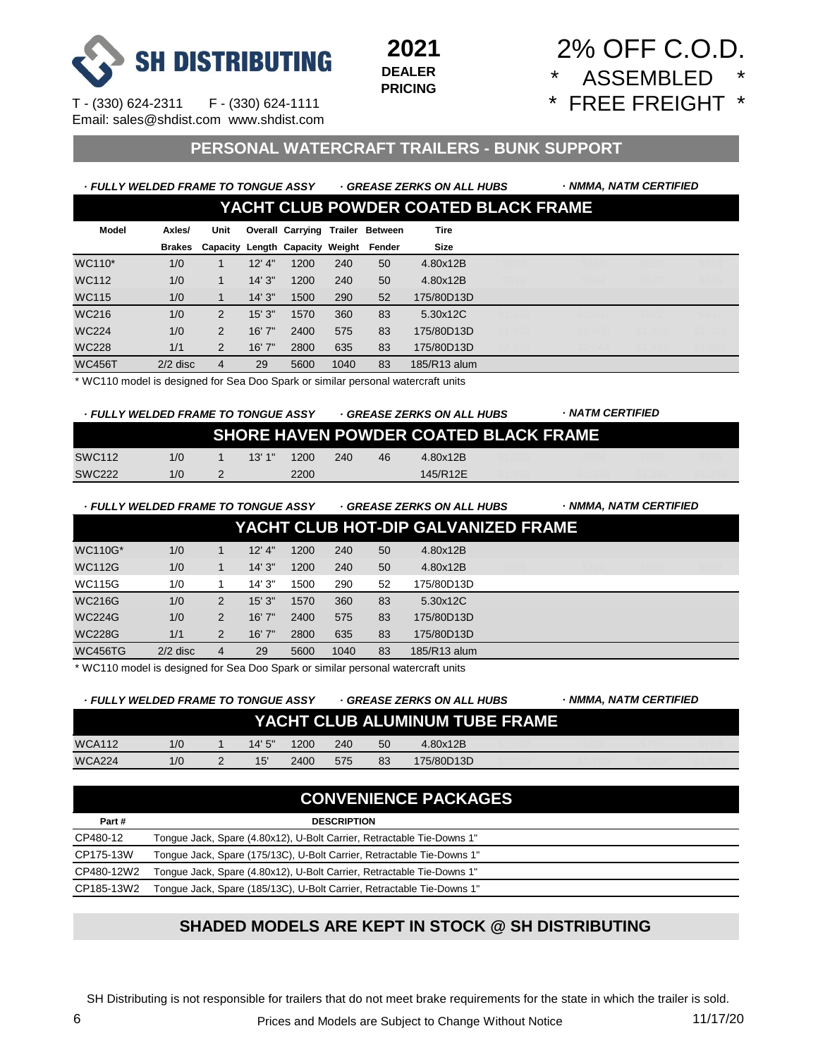

#### **2021 DEALER PRICING**

 2% OFF C.O.D. ASSEMBLED \* FREE FREIGHT \*

#### **PERSONAL WATERCRAFT TRAILERS - BUNK SUPPORT**

 *· FULLY WELDED FRAME TO TONGUE ASSY · GREASE ZERKS ON ALL HUBS* **·** *NMMA, NATM CERTIFIED*

| YACHT CLUB POWDER COATED BLACK FRAME |               |                |        |                                        |      |                |              |  |  |  |  |  |
|--------------------------------------|---------------|----------------|--------|----------------------------------------|------|----------------|--------------|--|--|--|--|--|
| <b>Model</b>                         | Axles/        | Unit           |        | Overall Carrying Trailer               |      | <b>Between</b> | <b>Tire</b>  |  |  |  |  |  |
|                                      | <b>Brakes</b> |                |        | Capacity Length Capacity Weight Fender |      |                | <b>Size</b>  |  |  |  |  |  |
| WC110*                               | 1/0           |                | 12' 4" | 1200                                   | 240  | 50             | 4.80x12B     |  |  |  |  |  |
| <b>WC112</b>                         | 1/0           | 1              | 14'3'' | 1200                                   | 240  | 50             | 4.80x12B     |  |  |  |  |  |
| <b>WC115</b>                         | 1/0           |                | 14'3'' | 1500                                   | 290  | 52             | 175/80D13D   |  |  |  |  |  |
| <b>WC216</b>                         | 1/0           | 2              | 15'3'' | 1570                                   | 360  | 83             | 5.30x12C     |  |  |  |  |  |
| <b>WC224</b>                         | 1/0           | $\overline{2}$ | 16'7'' | 2400                                   | 575  | 83             | 175/80D13D   |  |  |  |  |  |
| <b>WC228</b>                         | 1/1           | 2              | 16'7'' | 2800                                   | 635  | 83             | 175/80D13D   |  |  |  |  |  |
| <b>WC456T</b>                        | $2/2$ disc    | 4              | 29     | 5600                                   | 1040 | 83             | 185/R13 alum |  |  |  |  |  |

\* WC110 model is designed for Sea Doo Spark or similar personal watercraft units

 *· FULLY WELDED FRAME TO TONGUE ASSY · GREASE ZERKS ON ALL HUBS* **·** *NATM CERTIFIED*

| <b>SHORE HAVEN POWDER COATED BLACK FRAME</b> |     |  |        |      |     |    |          |  |  |  |  |  |
|----------------------------------------------|-----|--|--------|------|-----|----|----------|--|--|--|--|--|
| SWC112                                       | 1/0 |  | 13'1'' | 1200 | 240 | 46 | 4.80x12B |  |  |  |  |  |
| <b>SWC222</b>                                | 1/0 |  |        | 2200 |     |    | 145/R12E |  |  |  |  |  |

 *· FULLY WELDED FRAME TO TONGUE ASSY · GREASE ZERKS ON ALL HUBS* **·** *NMMA, NATM CERTIFIED*  $WC110G^*$  1/0 1 12' 4" 1200 240 50 4.80x12B  $8987.89$ WC112G 1/0 1 14' 3" 1200 240 50 4.80x12B \$939 \$685 \$660 WC115G 1/0 1 14' 3" 1500 290 52 175/80D13D WC216G 1/0 2 15'3" 1570 360 83 5.30x12C 1,100 \$1,100 \$1,100 \$1,100 \$1,100 \$1,100 \$1,100 \$1,100 \$1,100 \$1,100 \$1,100 \$1,100 \$1,100 \$1,100 \$1,100 \$1,100 \$1,100 \$1,100 \$1,100 \$1,100 \$1,100 \$1,100 \$1,100 \$1,100 \$1,100 \$1,100 WC224G 1/0 2 16' 7" 2400 575 83 175/80D13D \$2,087 \$1,594 \$1,538 \$1,482 WC228G 1/1 2 16' 7" 2800 635 83 175/80D13D \$2,967 \$2,290 \$2,210 \$2,130 WC456TG 2/2 disc  $4$  29 5600 1040 83 185/R13 alum  $35/8$ **YACHT CLUB HOT-DIP GALVANIZED FRAME**

\* WC110 model is designed for Sea Doo Spark or similar personal watercraft units

| <b>FULLY WELDED FRAME TO TONGUE ASSY</b> |     |        |      |     |    | GREASE ZERKS ON ALL HUBS .     | · NMMA. NATM CERTIFIED |  |
|------------------------------------------|-----|--------|------|-----|----|--------------------------------|------------------------|--|
|                                          |     |        |      |     |    | YACHT CLUB ALUMINUM TUBE FRAME |                        |  |
| <b>WCA112</b>                            | 1/0 | 14'5'' | 1200 | 240 | 50 | 4.80x12B                       |                        |  |
| <b>WCA224</b>                            | 1/0 | 15     | 2400 | 575 | 83 | 175/80D13D                     |                        |  |

| <b>CONVENIENCE PACKAGES</b> |  |  |
|-----------------------------|--|--|

| Part#      | <b>DESCRIPTION</b>                                                     |
|------------|------------------------------------------------------------------------|
| CP480-12   | Tongue Jack, Spare (4.80x12), U-Bolt Carrier, Retractable Tie-Downs 1" |
| CP175-13W  | Tonque Jack, Spare (175/13C), U-Bolt Carrier, Retractable Tie-Downs 1" |
| CP480-12W2 | Tonque Jack, Spare (4.80x12), U-Bolt Carrier, Retractable Tie-Downs 1" |
| CP185-13W2 | Tonque Jack, Spare (185/13C), U-Bolt Carrier, Retractable Tie-Downs 1" |

#### **SHADED MODELS ARE KEPT IN STOCK @ SH DISTRIBUTING**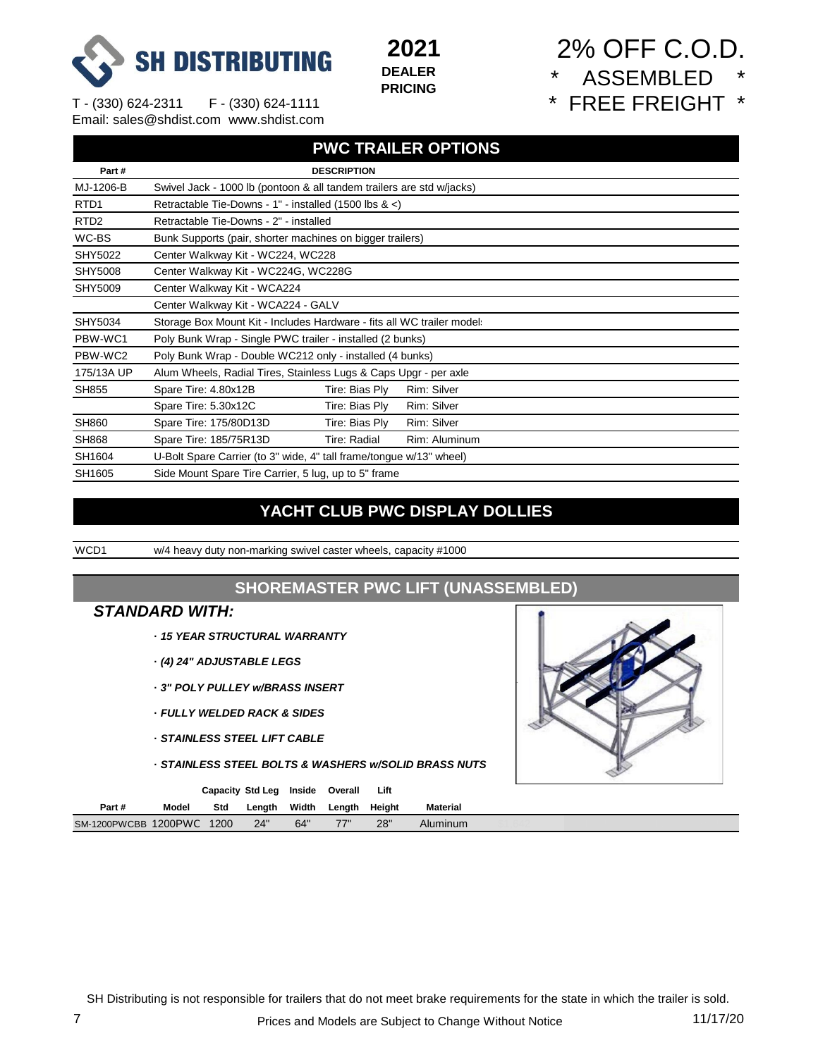

 2% OFF C.O.D. ASSEMBLED \* FREE FREIGHT \*

T - (330) 624-2311 F - (330) 624-1111 Email: sales@shdist.com www.shdist.com

#### **PWC TRAILER OPTIONS**

| Part#            | <b>DESCRIPTION</b>                                                     |                                                                       |  |  |  |  |  |  |  |
|------------------|------------------------------------------------------------------------|-----------------------------------------------------------------------|--|--|--|--|--|--|--|
| MJ-1206-B        |                                                                        | Swivel Jack - 1000 lb (pontoon & all tandem trailers are std w/jacks) |  |  |  |  |  |  |  |
| RTD <sub>1</sub> | Retractable Tie-Downs - 1" - installed (1500 lbs & <)                  |                                                                       |  |  |  |  |  |  |  |
| RTD <sub>2</sub> | Retractable Tie-Downs - 2" - installed                                 |                                                                       |  |  |  |  |  |  |  |
| WC-BS            | Bunk Supports (pair, shorter machines on bigger trailers)              |                                                                       |  |  |  |  |  |  |  |
| <b>SHY5022</b>   | Center Walkway Kit - WC224, WC228                                      |                                                                       |  |  |  |  |  |  |  |
| <b>SHY5008</b>   | Center Walkway Kit - WC224G, WC228G                                    |                                                                       |  |  |  |  |  |  |  |
| <b>SHY5009</b>   | Center Walkway Kit - WCA224                                            |                                                                       |  |  |  |  |  |  |  |
|                  | Center Walkway Kit - WCA224 - GALV                                     |                                                                       |  |  |  |  |  |  |  |
| SHY5034          | Storage Box Mount Kit - Includes Hardware - fits all WC trailer model: |                                                                       |  |  |  |  |  |  |  |
| PBW-WC1          | Poly Bunk Wrap - Single PWC trailer - installed (2 bunks)              |                                                                       |  |  |  |  |  |  |  |
| PBW-WC2          | Poly Bunk Wrap - Double WC212 only - installed (4 bunks)               |                                                                       |  |  |  |  |  |  |  |
| 175/13A UP       | Alum Wheels, Radial Tires, Stainless Lugs & Caps Upgr - per axle       |                                                                       |  |  |  |  |  |  |  |
| <b>SH855</b>     | Spare Tire: 4.80x12B<br>Tire: Bias Ply                                 | Rim: Silver                                                           |  |  |  |  |  |  |  |
|                  | Spare Tire: 5.30x12C<br>Tire: Bias Ply                                 | Rim: Silver                                                           |  |  |  |  |  |  |  |
| <b>SH860</b>     | Spare Tire: 175/80D13D<br>Tire: Bias Ply                               | Rim: Silver                                                           |  |  |  |  |  |  |  |
| <b>SH868</b>     | Spare Tire: 185/75R13D<br>Tire: Radial                                 | Rim: Aluminum                                                         |  |  |  |  |  |  |  |
| SH1604           | U-Bolt Spare Carrier (to 3" wide, 4" tall frame/tongue w/13" wheel)    |                                                                       |  |  |  |  |  |  |  |
| SH1605           | Side Mount Spare Tire Carrier, 5 lug, up to 5" frame                   |                                                                       |  |  |  |  |  |  |  |

#### **YACHT CLUB PWC DISPLAY DOLLIES**

WCD1 w/4 heavy duty non-marking swivel caster wheels, capacity #1000

## **SHOREMASTER PWC LIFT (UNASSEMBLED)**

#### *STANDARD WITH:*

- **·** *15 YEAR STRUCTURAL WARRANTY*
- **·** *(4) 24" ADJUSTABLE LEGS*
- **·** *3" POLY PULLEY w/BRASS INSERT*
- **·** *FULLY WELDED RACK & SIDES*
- **·** *STAINLESS STEEL LIFT CABLE*
- **·** *STAINLESS STEEL BOLTS & WASHERS w/SOLID BRASS NUTS*

|                           |       |     | Capacity Std Leg Inside |       | Overall | Lift   |          |  |
|---------------------------|-------|-----|-------------------------|-------|---------|--------|----------|--|
| Part#                     | Model | Std | Lenath                  | Width | Lenath  | Heiaht | Material |  |
| SM-1200PWCBB 1200PWC 1200 |       |     | 24"                     | 64"   | 77"     | 28"    | Aluminum |  |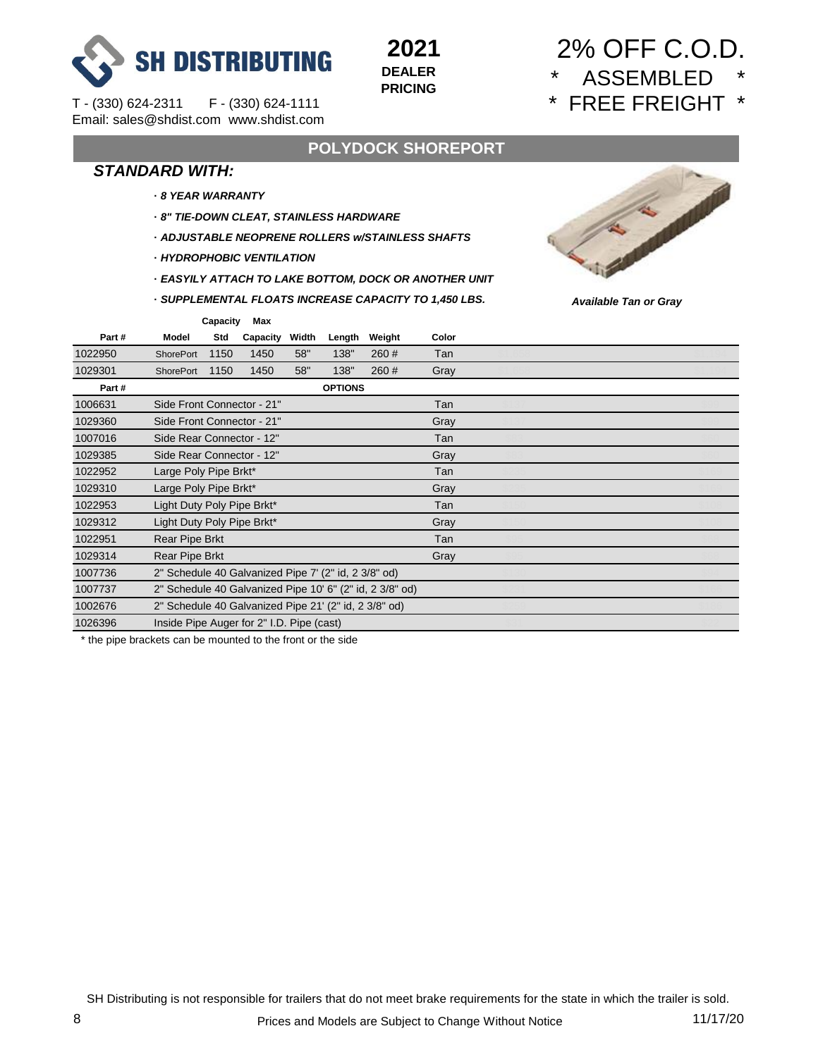

## 2% OFF C.O.D. ASSEMBLED \* FREE FREIGHT \*

#### **POLYDOCK SHOREPORT**

 **2021 DEALER PRICING**

#### *STANDARD WITH:*

- **·** *8 YEAR WARRANTY*
- **·** *8" TIE-DOWN CLEAT, STAINLESS HARDWARE*
- **·** *ADJUSTABLE NEOPRENE ROLLERS w/STAINLESS SHAFTS*
- **·** *HYDROPHOBIC VENTILATION*
- **·** *EASYILY ATTACH TO LAKE BOTTOM, DOCK OR ANOTHER UNIT*
- **·** *SUPPLEMENTAL FLOATS INCREASE CAPACITY TO 1,450 LBS. Available Tan or Gray*



|         |                                                       | Capacity | Max      |       |                |                                                          |       |  |
|---------|-------------------------------------------------------|----------|----------|-------|----------------|----------------------------------------------------------|-------|--|
| Part#   | Model                                                 | Std      | Capacity | Width | Length         | Weight                                                   | Color |  |
| 1022950 | <b>ShorePort</b>                                      | 1150     | 1450     | 58"   | 138"           | 260#                                                     | Tan   |  |
| 1029301 | <b>ShorePort</b>                                      | 1150     | 1450     | 58"   | 138"           | 260#                                                     | Gray  |  |
| Part#   |                                                       |          |          |       | <b>OPTIONS</b> |                                                          |       |  |
| 1006631 | Side Front Connector - 21"                            |          |          |       |                |                                                          | Tan   |  |
| 1029360 | Side Front Connector - 21"                            |          |          |       |                |                                                          | Gray  |  |
| 1007016 | Side Rear Connector - 12"                             |          |          |       |                |                                                          | Tan   |  |
| 1029385 | Side Rear Connector - 12"                             |          |          |       |                |                                                          | Gray  |  |
| 1022952 | Large Poly Pipe Brkt*                                 |          |          |       |                |                                                          | Tan   |  |
| 1029310 | Large Poly Pipe Brkt*                                 |          |          |       |                |                                                          | Gray  |  |
| 1022953 | Light Duty Poly Pipe Brkt*                            |          |          |       |                |                                                          | Tan   |  |
| 1029312 | Light Duty Poly Pipe Brkt*                            |          |          |       |                |                                                          | Gray  |  |
| 1022951 | <b>Rear Pipe Brkt</b>                                 |          |          |       |                |                                                          | Tan   |  |
| 1029314 | <b>Rear Pipe Brkt</b>                                 |          |          |       |                |                                                          | Gray  |  |
| 1007736 | 2" Schedule 40 Galvanized Pipe 7' (2" id, 2 3/8" od)  |          |          |       |                |                                                          |       |  |
| 1007737 |                                                       |          |          |       |                | 2" Schedule 40 Galvanized Pipe 10' 6" (2" id, 2 3/8" od) |       |  |
| 1002676 | 2" Schedule 40 Galvanized Pipe 21' (2" id, 2 3/8" od) |          |          |       |                |                                                          |       |  |
| 1026396 | Inside Pipe Auger for 2" I.D. Pipe (cast)             |          |          |       |                |                                                          |       |  |

\* the pipe brackets can be mounted to the front or the side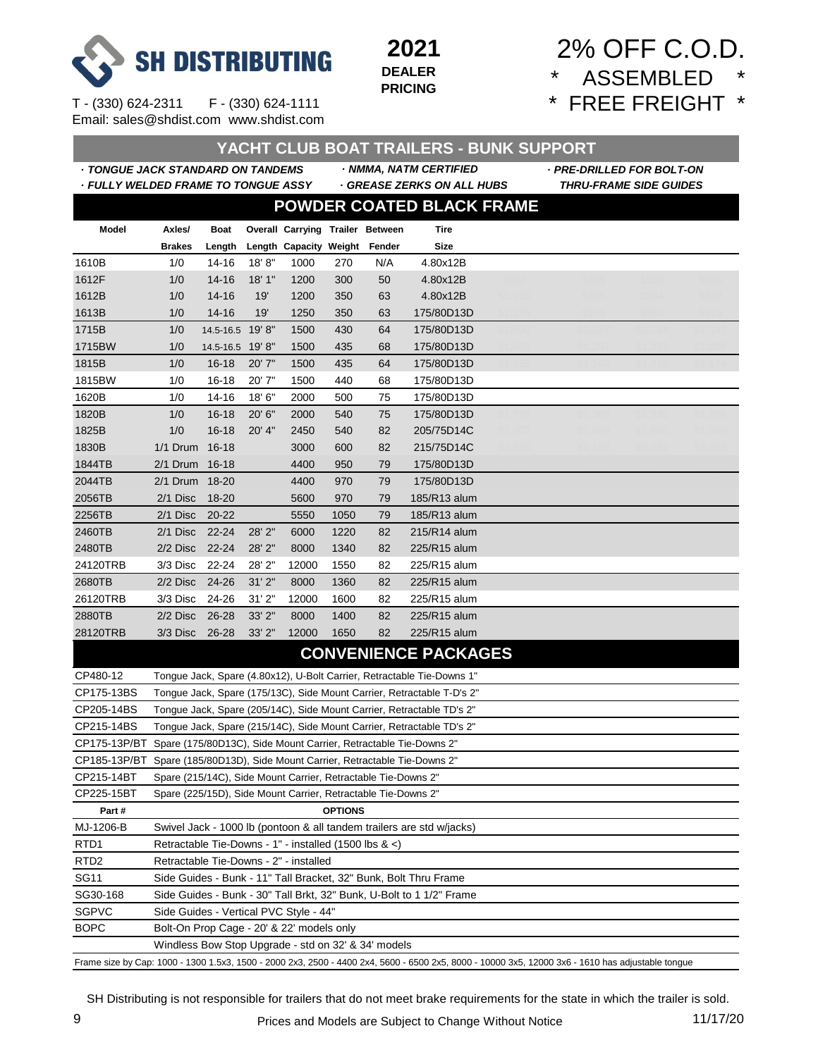



 2% OFF C.O.D. \* ASSEMBLED \* \* FREE FREIGHT \*

|                                     |                                                               |             |         |                                  |                |     | <u> YACHT CLUB BOAT TRAILERS - BUNK SUPPORT</u>                        |                           |                               |  |
|-------------------------------------|---------------------------------------------------------------|-------------|---------|----------------------------------|----------------|-----|------------------------------------------------------------------------|---------------------------|-------------------------------|--|
| ⋅ TONGUE JACK STANDARD ON TANDEMS   |                                                               |             |         |                                  |                |     | · NMMA, NATM CERTIFIED                                                 | · PRE-DRILLED FOR BOLT-ON |                               |  |
| · FULLY WELDED FRAME TO TONGUE ASSY |                                                               |             |         |                                  |                |     | GREASE ZERKS ON ALL HUBS                                               |                           | <b>THRU-FRAME SIDE GUIDES</b> |  |
|                                     |                                                               |             |         |                                  |                |     | <b>POWDER COATED BLACK FRAME</b>                                       |                           |                               |  |
| Model                               | Axles/                                                        | <b>Boat</b> |         | Overall Carrying Trailer Between |                |     | Tire                                                                   |                           |                               |  |
|                                     | <b>Brakes</b>                                                 | Length      |         | Length Capacity Weight Fender    |                |     | <b>Size</b>                                                            |                           |                               |  |
| 1610B                               | 1/0                                                           | 14-16       | 18' 8'' | 1000                             | 270            | N/A | 4.80x12B                                                               |                           |                               |  |
| 1612F                               | 1/0                                                           | $14 - 16$   | 18'1"   | 1200                             | 300            | 50  | 4.80x12B                                                               |                           |                               |  |
| 1612B                               | 1/0                                                           | $14 - 16$   | 19'     | 1200                             | 350            | 63  | 4.80x12B                                                               |                           |                               |  |
| 1613B                               | 1/0                                                           | 14-16       | 19'     | 1250                             | 350            | 63  | 175/80D13D                                                             |                           |                               |  |
| 1715B                               | 1/0                                                           | 14.5-16.5   | 19'8"   | 1500                             | 430            | 64  | 175/80D13D                                                             |                           |                               |  |
| 1715BW                              | 1/0                                                           | 14.5-16.5   | 19′8″   | 1500                             | 435            | 68  | 175/80D13D                                                             |                           |                               |  |
| 1815B                               | 1/0                                                           | $16 - 18$   | 20' 7"  | 1500                             | 435            | 64  | 175/80D13D                                                             |                           |                               |  |
| 1815BW                              | 1/0                                                           | 16-18       | 20'7"   | 1500                             | 440            | 68  | 175/80D13D                                                             |                           |                               |  |
| 1620B                               | 1/0                                                           | 14-16       | 18'6"   | 2000                             | 500            | 75  | 175/80D13D                                                             |                           |                               |  |
| 1820B                               | 1/0                                                           | $16 - 18$   | 20' 6"  | 2000                             | 540            | 75  | 175/80D13D                                                             |                           |                               |  |
| 1825B                               | 1/0                                                           | $16 - 18$   | 20' 4"  | 2450                             | 540            | 82  | 205/75D14C                                                             |                           |                               |  |
| 1830B                               | 1/1 Drum 16-18                                                |             |         | 3000                             | 600            | 82  | 215/75D14C                                                             |                           |                               |  |
| 1844TB                              | 2/1 Drum 16-18                                                |             |         | 4400                             | 950            | 79  | 175/80D13D                                                             |                           |                               |  |
| 2044TB                              | $2/1$ Drum                                                    | 18-20       |         | 4400                             | 970            | 79  | 175/80D13D                                                             |                           |                               |  |
| 2056TB                              | 2/1 Disc                                                      | 18-20       |         | 5600                             | 970            | 79  | 185/R13 alum                                                           |                           |                               |  |
| 2256TB                              | 2/1 Disc                                                      | $20 - 22$   |         | 5550                             | 1050           | 79  | 185/R13 alum                                                           |                           |                               |  |
| 2460TB                              | $2/1$ Disc                                                    | $22 - 24$   | 28' 2"  | 6000                             | 1220           | 82  | 215/R14 alum                                                           |                           |                               |  |
| 2480TB                              | 2/2 Disc                                                      | 22-24       | 28' 2"  | 8000                             | 1340           | 82  | 225/R15 alum                                                           |                           |                               |  |
| 24120TRB                            | 3/3 Disc                                                      | 22-24       | 28' 2"  | 12000                            | 1550           | 82  | 225/R15 alum                                                           |                           |                               |  |
| 2680TB                              | 2/2 Disc                                                      | 24-26       | 31'2"   | 8000                             | 1360           | 82  | 225/R15 alum                                                           |                           |                               |  |
| 26120TRB                            | 3/3 Disc                                                      | 24-26       | 31'2"   | 12000                            | 1600           | 82  | 225/R15 alum                                                           |                           |                               |  |
| 2880TB                              | $2/2$ Disc                                                    | $26 - 28$   | 33' 2"  | 8000                             | 1400           | 82  | 225/R15 alum                                                           |                           |                               |  |
| 28120TRB                            | 3/3 Disc                                                      | $26 - 28$   | 33' 2"  | 12000                            | 1650           | 82  | 225/R15 alum                                                           |                           |                               |  |
|                                     |                                                               |             |         |                                  |                |     | <b>CONVENIENCE PACKAGES</b>                                            |                           |                               |  |
| CP480-12                            |                                                               |             |         |                                  |                |     | Tongue Jack, Spare (4.80x12), U-Bolt Carrier, Retractable Tie-Downs 1" |                           |                               |  |
| CP175-13BS                          |                                                               |             |         |                                  |                |     | Tongue Jack, Spare (175/13C), Side Mount Carrier, Retractable T-D's 2" |                           |                               |  |
| CP205-14BS                          |                                                               |             |         |                                  |                |     | Tongue Jack, Spare (205/14C), Side Mount Carrier, Retractable TD's 2"  |                           |                               |  |
| CP215-14BS                          |                                                               |             |         |                                  |                |     | Tongue Jack, Spare (215/14C), Side Mount Carrier, Retractable TD's 2"  |                           |                               |  |
| CP175-13P/BT                        |                                                               |             |         |                                  |                |     | Spare (175/80D13C), Side Mount Carrier, Retractable Tie-Downs 2"       |                           |                               |  |
| CP185-13P/BT                        |                                                               |             |         |                                  |                |     | Spare (185/80D13D), Side Mount Carrier, Retractable Tie-Downs 2"       |                           |                               |  |
| CP215-14BT                          | Spare (215/14C), Side Mount Carrier, Retractable Tie-Downs 2" |             |         |                                  |                |     |                                                                        |                           |                               |  |
| CP225-15BT                          | Spare (225/15D), Side Mount Carrier, Retractable Tie-Downs 2" |             |         |                                  |                |     |                                                                        |                           |                               |  |
| Part#                               |                                                               |             |         |                                  | <b>OPTIONS</b> |     |                                                                        |                           |                               |  |
| MJ-1206-B                           |                                                               |             |         |                                  |                |     | Swivel Jack - 1000 lb (pontoon & all tandem trailers are std w/jacks)  |                           |                               |  |
| RTD1                                | Retractable Tie-Downs - 1" - installed (1500 lbs & <)         |             |         |                                  |                |     |                                                                        |                           |                               |  |
| RTD <sub>2</sub>                    | Retractable Tie-Downs - 2" - installed                        |             |         |                                  |                |     |                                                                        |                           |                               |  |
| <b>SG11</b>                         |                                                               |             |         |                                  |                |     | Side Guides - Bunk - 11" Tall Bracket, 32" Bunk, Bolt Thru Frame       |                           |                               |  |
| SG30-168                            |                                                               |             |         |                                  |                |     | Side Guides - Bunk - 30" Tall Brkt, 32" Bunk, U-Bolt to 1 1/2" Frame   |                           |                               |  |
| SGPVC                               | Side Guides - Vertical PVC Style - 44"                        |             |         |                                  |                |     |                                                                        |                           |                               |  |
| <b>BOPC</b>                         | Bolt-On Prop Cage - 20' & 22' models only                     |             |         |                                  |                |     |                                                                        |                           |                               |  |
|                                     | Windless Bow Stop Upgrade - std on 32' & 34' models           |             |         |                                  |                |     |                                                                        |                           |                               |  |

Frame size by Cap: 1000 - 1300 1.5x3, 1500 - 2000 2x3, 2500 - 4400 2x4, 5600 - 6500 2x5, 8000 - 10000 3x5, 12000 3x6 - 1610 has adjustable tongue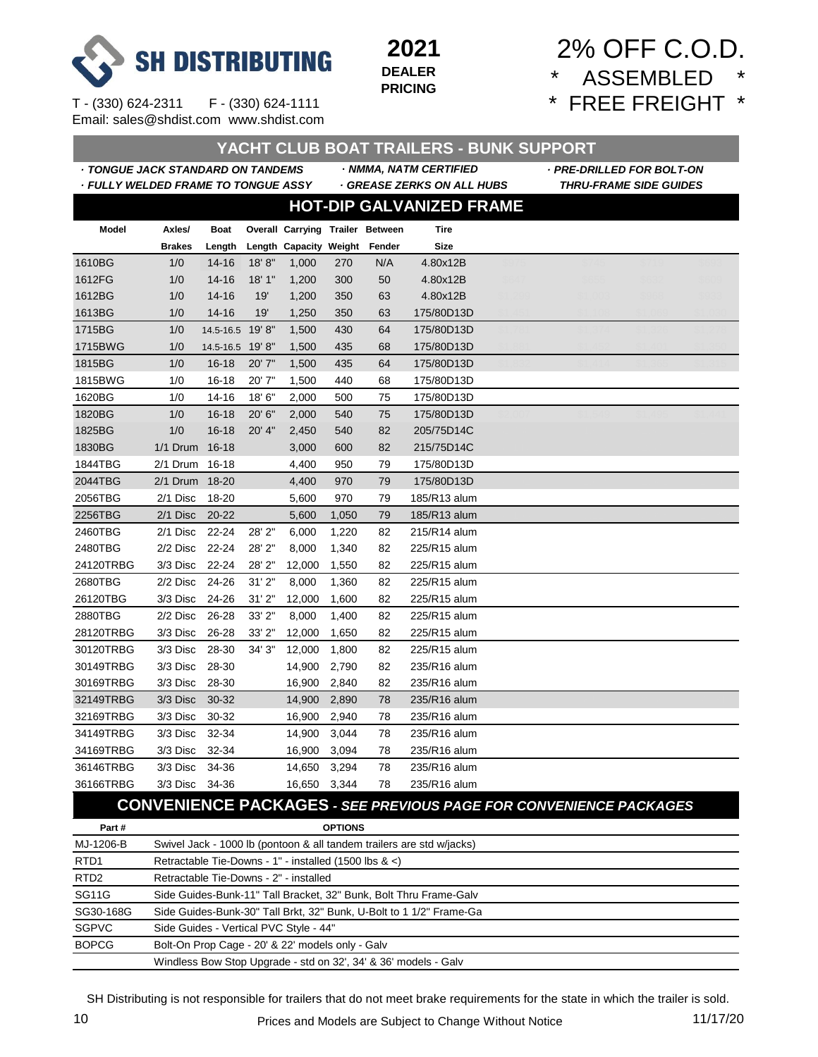



## 2% OFF C.O.D. \* ASSEMBLED \* \* FREE FREIGHT \*

|                                          |                           |             |         |                                                                            |       |        | YACHT CLUB BOAT TRAILERS - BUNK SUPPORT |                               |  |
|------------------------------------------|---------------------------|-------------|---------|----------------------------------------------------------------------------|-------|--------|-----------------------------------------|-------------------------------|--|
| . TONGUE JACK STANDARD ON TANDEMS        |                           |             |         |                                                                            |       |        | - NMMA, NATM CERTIFIED                  | · PRE-DRILLED FOR BOLT-ON     |  |
| <b>FULLY WELDED FRAME TO TONGUE ASSY</b> |                           |             |         |                                                                            |       |        | GREASE ZERKS ON ALL HUBS                | <b>THRU-FRAME SIDE GUIDES</b> |  |
|                                          |                           |             |         |                                                                            |       |        | <b>HOT-DIP GALVANIZED FRAME</b>         |                               |  |
| Model                                    | Axles/                    | <b>Boat</b> |         | Overall Carrying Trailer Between                                           |       |        | Tire                                    |                               |  |
|                                          | <b>Brakes</b>             | Length      |         | Length Capacity Weight                                                     |       | Fender | <b>Size</b>                             |                               |  |
| 1610BG                                   | 1/0                       | $14 - 16$   | 18' 8'' | 1,000                                                                      | 270   | N/A    | 4.80x12B                                |                               |  |
| 1612FG                                   | 1/0                       | 14-16       | 18'1"   | 1,200                                                                      | 300   | 50     | 4.80x12B                                |                               |  |
| 1612BG                                   | 1/0                       | $14 - 16$   | 19'     | 1,200                                                                      | 350   | 63     | 4.80x12B                                |                               |  |
| 1613BG                                   | 1/0                       | 14-16       | 19'     | 1,250                                                                      | 350   | 63     | 175/80D13D                              |                               |  |
| 1715BG                                   | 1/0                       | 14.5-16.5   | 19'8"   | 1,500                                                                      | 430   | 64     | 175/80D13D                              |                               |  |
| 1715BWG                                  | 1/0                       | 14.5-16.5   | 19'8"   | 1,500                                                                      | 435   | 68     | 175/80D13D                              |                               |  |
| 1815BG                                   | 1/0                       | $16 - 18$   | 20' 7"  | 1,500                                                                      | 435   | 64     | 175/80D13D                              |                               |  |
| 1815BWG                                  | 1/0                       | 16-18       | 20'7"   | 1,500                                                                      | 440   | 68     | 175/80D13D                              |                               |  |
| 1620BG                                   | 1/0                       | 14-16       | 18'6"   | 2,000                                                                      | 500   | 75     | 175/80D13D                              |                               |  |
| 1820BG                                   | 1/0                       | $16 - 18$   | 20'6''  | 2,000                                                                      | 540   | 75     | 175/80D13D                              |                               |  |
| 1825BG                                   | 1/0                       | $16 - 18$   | 20' 4"  | 2,450                                                                      | 540   | 82     | 205/75D14C                              |                               |  |
| 1830BG                                   | 1/1 Drum                  | 16-18       |         | 3,000                                                                      | 600   | 82     | 215/75D14C                              |                               |  |
| 1844TBG                                  | 2/1 Drum                  | $16 - 18$   |         | 4,400                                                                      | 950   | 79     | 175/80D13D                              |                               |  |
| 2044TBG                                  | 2/1 Drum                  | $18 - 20$   |         | 4,400                                                                      | 970   | 79     | 175/80D13D                              |                               |  |
| 2056TBG                                  | 2/1 Disc                  | 18-20       |         | 5,600                                                                      | 970   | 79     | 185/R13 alum                            |                               |  |
| 2256TBG                                  | 2/1 Disc                  | $20 - 22$   |         | 5,600                                                                      | 1,050 | 79     | 185/R13 alum                            |                               |  |
| 2460TBG                                  | 2/1 Disc                  | $22 - 24$   | 28' 2"  | 6,000                                                                      | 1,220 | 82     | 215/R14 alum                            |                               |  |
| 2480TBG                                  | 2/2 Disc                  | $22 - 24$   | 28' 2"  | 8,000                                                                      | 1,340 | 82     | 225/R15 alum                            |                               |  |
| 24120TRBG                                | 3/3 Disc                  | $22 - 24$   | 28' 2"  | 12,000                                                                     | 1,550 | 82     | 225/R15 alum                            |                               |  |
| 2680TBG                                  | 2/2 Disc                  | $24 - 26$   | 31'2"   | 8,000                                                                      | 1,360 | 82     | 225/R15 alum                            |                               |  |
| 26120TBG                                 | 3/3 Disc                  | 24-26       | 31'2''  | 12,000                                                                     | 1,600 | 82     | 225/R15 alum                            |                               |  |
| 2880TBG                                  | 2/2 Disc                  | 26-28       | 33'2"   | 8,000                                                                      | 1,400 | 82     | 225/R15 alum                            |                               |  |
| 28120TRBG                                | 3/3 Disc                  | $26 - 28$   | 33'2"   | 12,000                                                                     | 1,650 | 82     | 225/R15 alum                            |                               |  |
| 30120TRBG                                | 3/3 Disc                  | 28-30       | 34'3''  | 12,000                                                                     | 1,800 | 82     | 225/R15 alum                            |                               |  |
| 30149TRBG                                | 3/3 Disc                  | 28-30       |         | 14,900                                                                     | 2,790 | 82     | 235/R16 alum                            |                               |  |
| 30169TRBG                                | 3/3 Disc                  | 28-30       |         | 16,900                                                                     | 2,840 | 82     | 235/R16 alum                            |                               |  |
| 32149TRBG                                | 3/3 Disc                  | $30 - 32$   |         | 14,900                                                                     | 2,890 | 78     | 235/R16 alum                            |                               |  |
| 32169TRBG                                | 3/3 Disc                  | 30-32       |         | 16,900                                                                     | 2,940 | 78     | 235/R16 alum                            |                               |  |
| 34149TRBG                                | 3/3 Disc                  | 32-34       |         | 14,900                                                                     | 3,044 | 78     | 235/R16 alum                            |                               |  |
| 34169TRBG                                | 3/3 Disc                  | 32-34       |         | 16,900                                                                     | 3,094 | 78     | 235/R16 alum                            |                               |  |
| 36146TRBG                                | 3/3 Disc                  | 34-36       |         | 14,650                                                                     | 3,294 | 78     | 235/R16 alum                            |                               |  |
| 36166TRBG                                | 3/3 Disc<br>,,,,,,,,,,,,, | 34-36       |         | 16,650<br>$\mathbf{u}$ $\mathbf{v}$ $\mathbf{v}$ $\mathbf{v}$ $\mathbf{v}$ | 3,344 | 78     | 235/R16 alum                            |                               |  |

#### **CONVENIENCE PACKAGES** *- SEE PREVIOUS PAGE FOR CONVENIENCE PACKAGES*

| Part#            | <b>OPTIONS</b>                                                        |
|------------------|-----------------------------------------------------------------------|
| MJ-1206-B        | Swivel Jack - 1000 lb (pontoon & all tandem trailers are std w/jacks) |
| RTD <sub>1</sub> | Retractable Tie-Downs - 1" - installed (1500 lbs $\<$ )               |
| RTD <sub>2</sub> | Retractable Tie-Downs - 2" - installed                                |
| <b>SG11G</b>     | Side Guides-Bunk-11" Tall Bracket, 32" Bunk, Bolt Thru Frame-Galv     |
| SG30-168G        | Side Guides-Bunk-30" Tall Brkt, 32" Bunk, U-Bolt to 1 1/2" Frame-Ga   |
| <b>SGPVC</b>     | Side Guides - Vertical PVC Style - 44"                                |
| <b>BOPCG</b>     | Bolt-On Prop Cage - 20' & 22' models only - Galv                      |
|                  | Windless Bow Stop Upgrade - std on 32', 34' & 36' models - Galv       |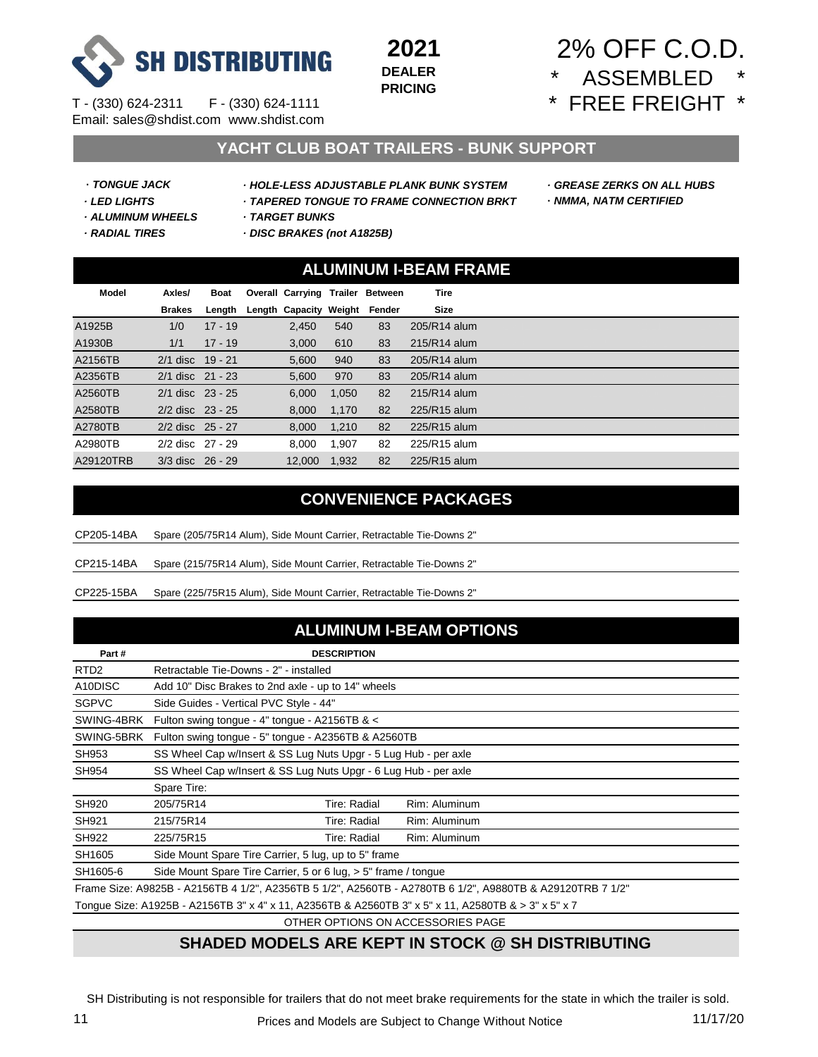

#### **YACHT CLUB BOAT TRAILERS - BUNK SUPPORT**

 **2021 DEALER PRICING**

- 
- **·** *TONGUE JACK · HOLE-LESS ADJUSTABLE PLANK BUNK SYSTEM · GREASE ZERKS ON ALL HUBS*
	-
- 
- *· LED LIGHTS · TAPERED TONGUE TO FRAME CONNECTION BRKT* **·** *NMMA, NATM CERTIFIED*
	-
- 
- *· ALUMINUM WHEELS · TARGET BUNKS*
- *· RADIAL TIRES · DISC BRAKES (not A1825B)*

#### **ALUMINUM I-BEAM FRAME**

| <b>Model</b> | Axles/               | <b>Boat</b> | Overall Carrying Trailer Between |       |        | <b>Tire</b>  |
|--------------|----------------------|-------------|----------------------------------|-------|--------|--------------|
|              | <b>Brakes</b>        | Length      | Length Capacity Weight           |       | Fender | Size         |
| A1925B       | 1/0                  | $17 - 19$   | 2,450                            | 540   | 83     | 205/R14 alum |
| A1930B       | 1/1                  | $17 - 19$   | 3,000                            | 610   | 83     | 215/R14 alum |
| A2156TB      | 2/1 disc 19 - 21     |             | 5.600                            | 940   | 83     | 205/R14 alum |
| A2356TB      | 2/1 disc 21 - 23     |             | 5,600                            | 970   | 83     | 205/R14 alum |
| A2560TB      | 2/1 disc 23 - 25     |             | 6.000                            | 1.050 | 82     | 215/R14 alum |
| A2580TB      | $2/2$ disc $23 - 25$ |             | 8.000                            | 1.170 | 82     | 225/R15 alum |
| A2780TB      | 2/2 disc 25 - 27     |             | 8,000                            | 1.210 | 82     | 225/R15 alum |
| A2980TB      | 2/2 disc 27 - 29     |             | 8.000                            | 1.907 | 82     | 225/R15 alum |
| A29120TRB    | 3/3 disc 26 - 29     |             | 12,000                           | 1,932 | 82     | 225/R15 alum |

#### **CONVENIENCE PACKAGES**

- CP205-14BA Spare (205/75R14 Alum), Side Mount Carrier, Retractable Tie-Downs 2"
- CP215-14BA Spare (215/75R14 Alum), Side Mount Carrier, Retractable Tie-Downs 2"
- CP225-15BA Spare (225/75R15 Alum), Side Mount Carrier, Retractable Tie-Downs 2"

#### **ALUMINUM I-BEAM OPTIONS**

| Part#            | <b>DESCRIPTION</b>                                                                                        |  |  |  |  |  |  |  |
|------------------|-----------------------------------------------------------------------------------------------------------|--|--|--|--|--|--|--|
| RTD <sub>2</sub> | Retractable Tie-Downs - 2" - installed                                                                    |  |  |  |  |  |  |  |
| A10DISC          | Add 10" Disc Brakes to 2nd axle - up to 14" wheels                                                        |  |  |  |  |  |  |  |
| <b>SGPVC</b>     | Side Guides - Vertical PVC Style - 44"                                                                    |  |  |  |  |  |  |  |
| SWING-4BRK       | Fulton swing tongue - 4" tongue - A2156TB & <                                                             |  |  |  |  |  |  |  |
| SWING-5BRK       | Fulton swing tongue - 5" tongue - A2356TB & A2560TB                                                       |  |  |  |  |  |  |  |
| SH953            | SS Wheel Cap w/Insert & SS Lug Nuts Upgr - 5 Lug Hub - per axle                                           |  |  |  |  |  |  |  |
| <b>SH954</b>     | SS Wheel Cap w/Insert & SS Lug Nuts Upgr - 6 Lug Hub - per axle                                           |  |  |  |  |  |  |  |
|                  | Spare Tire:                                                                                               |  |  |  |  |  |  |  |
| <b>SH920</b>     | 205/75R14<br>Tire: Radial<br>Rim: Aluminum                                                                |  |  |  |  |  |  |  |
| SH921            | 215/75R14<br>Tire: Radial<br>Rim: Aluminum                                                                |  |  |  |  |  |  |  |
| <b>SH922</b>     | Rim: Aluminum<br>225/75R15<br>Tire: Radial                                                                |  |  |  |  |  |  |  |
| SH1605           | Side Mount Spare Tire Carrier, 5 lug, up to 5" frame                                                      |  |  |  |  |  |  |  |
| SH1605-6         | Side Mount Spare Tire Carrier, 5 or 6 lug, > 5" frame / tongue                                            |  |  |  |  |  |  |  |
|                  | Frame Size: A9825B - A2156TB 4 1/2", A2356TB 5 1/2", A2560TB - A2780TB 6 1/2", A9880TB & A29120TRB 7 1/2" |  |  |  |  |  |  |  |
|                  | Tonque Size: A1925B - A2156TB 3" x 4" x 11, A2356TB & A2560TB 3" x 5" x 11, A2580TB & > 3" x 5" x 7       |  |  |  |  |  |  |  |

OTHER OPTIONS ON ACCESSORIES PAGE

#### **SHADED MODELS ARE KEPT IN STOCK @ SH DISTRIBUTING**

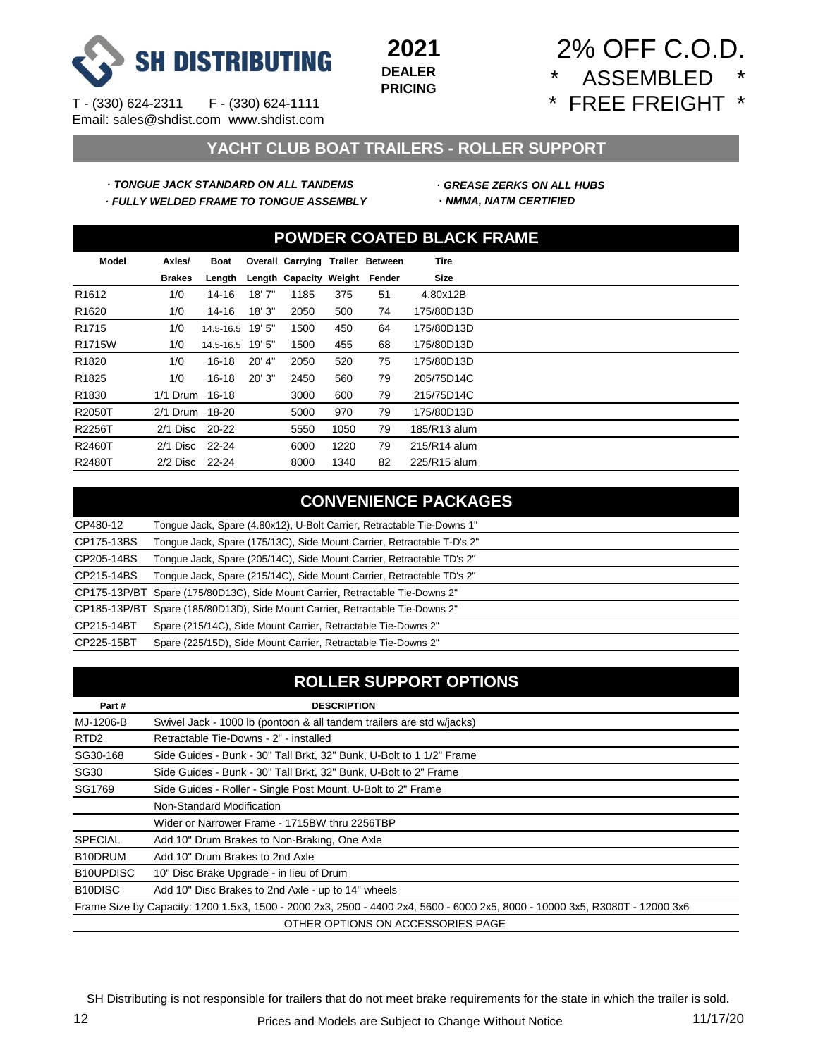

 **2021 DEALER PRICING**

 2% OFF C.O.D. \* ASSEMBLED \* \* FREE FREIGHT \*

#### **YACHT CLUB BOAT TRAILERS - ROLLER SUPPORT**

#### **·** *TONGUE JACK STANDARD ON ALL TANDEMS · GREASE ZERKS ON ALL HUBS · FULLY WELDED FRAME TO TONGUE ASSEMBLY* **·** *NMMA, NATM CERTIFIED*

| Axles/        | Boat      |                                                                  |                               |      |        | <b>Tire</b>                                                |                                  |
|---------------|-----------|------------------------------------------------------------------|-------------------------------|------|--------|------------------------------------------------------------|----------------------------------|
| <b>Brakes</b> | Length    |                                                                  |                               |      | Fender | Size                                                       |                                  |
| 1/0           | 14-16     | 18'7''                                                           | 1185                          | 375  | 51     | 4.80x12B                                                   |                                  |
| 1/0           | 14-16     | 18'3"                                                            | 2050                          | 500  | 74     | 175/80D13D                                                 |                                  |
| 1/0           |           | 19' 5"                                                           | 1500                          | 450  | 64     | 175/80D13D                                                 |                                  |
| 1/0           |           |                                                                  | 1500                          | 455  | 68     | 175/80D13D                                                 |                                  |
| 1/0           | $16 - 18$ | $20'$ 4"                                                         | 2050                          | 520  | 75     | 175/80D13D                                                 |                                  |
| 1/0           | $16 - 18$ | 20'3"                                                            | 2450                          | 560  | 79     | 205/75D14C                                                 |                                  |
|               | $16 - 18$ |                                                                  | 3000                          | 600  | 79     | 215/75D14C                                                 |                                  |
|               | 18-20     |                                                                  | 5000                          | 970  | 79     | 175/80D13D                                                 |                                  |
|               | $20 - 22$ |                                                                  | 5550                          | 1050 | 79     | 185/R13 alum                                               |                                  |
|               | 22-24     |                                                                  | 6000                          | 1220 | 79     | 215/R14 alum                                               |                                  |
|               | 22-24     |                                                                  | 8000                          | 1340 | 82     | 225/R15 alum                                               |                                  |
|               |           | $1/1$ Drum<br>$2/1$ Drum<br>$2/1$ Disc<br>$2/1$ Disc<br>2/2 Disc | 14.5-16.5<br>14.5-16.5 19' 5" |      |        | Overall Carrying Trailer Between<br>Length Capacity Weight | <b>POWDER COATED BLACK FRAME</b> |

#### **CONVENIENCE PACKAGES**

| CP480-12     | Tongue Jack, Spare (4.80x12), U-Bolt Carrier, Retractable Tie-Downs 1"        |
|--------------|-------------------------------------------------------------------------------|
| CP175-13BS   | Tonque Jack, Spare (175/13C), Side Mount Carrier, Retractable T-D's 2"        |
| CP205-14BS   | Tonque Jack, Spare (205/14C), Side Mount Carrier, Retractable TD's 2"         |
| CP215-14BS   | Tongue Jack, Spare (215/14C), Side Mount Carrier, Retractable TD's 2"         |
|              | CP175-13P/BT Spare (175/80D13C), Side Mount Carrier, Retractable Tie-Downs 2" |
| CP185-13P/BT | Spare (185/80D13D), Side Mount Carrier, Retractable Tie-Downs 2"              |
| CP215-14BT   | Spare (215/14C), Side Mount Carrier, Retractable Tie-Downs 2"                 |
| CP225-15BT   | Spare (225/15D), Side Mount Carrier, Retractable Tie-Downs 2"                 |

#### **ROLLER SUPPORT OPTIONS**

| Part#                  | <b>DESCRIPTION</b>                                                                                                          |  |  |  |  |  |  |  |  |
|------------------------|-----------------------------------------------------------------------------------------------------------------------------|--|--|--|--|--|--|--|--|
| MJ-1206-B              | Swivel Jack - 1000 lb (pontoon & all tandem trailers are std w/jacks)                                                       |  |  |  |  |  |  |  |  |
| RTD <sub>2</sub>       | Retractable Tie-Downs - 2" - installed                                                                                      |  |  |  |  |  |  |  |  |
| SG30-168               | Side Guides - Bunk - 30" Tall Brkt, 32" Bunk, U-Bolt to 1 1/2" Frame                                                        |  |  |  |  |  |  |  |  |
| <b>SG30</b>            | Side Guides - Bunk - 30" Tall Brkt, 32" Bunk, U-Bolt to 2" Frame                                                            |  |  |  |  |  |  |  |  |
| SG1769                 | Side Guides - Roller - Single Post Mount, U-Bolt to 2" Frame                                                                |  |  |  |  |  |  |  |  |
|                        | Non-Standard Modification                                                                                                   |  |  |  |  |  |  |  |  |
|                        | Wider or Narrower Frame - 1715BW thru 2256TBP                                                                               |  |  |  |  |  |  |  |  |
| <b>SPECIAL</b>         | Add 10" Drum Brakes to Non-Braking, One Axle                                                                                |  |  |  |  |  |  |  |  |
| B <sub>10</sub> DRUM   | Add 10" Drum Brakes to 2nd Axle                                                                                             |  |  |  |  |  |  |  |  |
| B <sub>10</sub> UPDISC | 10" Disc Brake Upgrade - in lieu of Drum                                                                                    |  |  |  |  |  |  |  |  |
| B <sub>10</sub> DISC   | Add 10" Disc Brakes to 2nd Axle - up to 14" wheels                                                                          |  |  |  |  |  |  |  |  |
|                        | Frame Size by Capacity: 1200 1.5x3, 1500 - 2000 2x3, 2500 - 4400 2x4, 5600 - 6000 2x5, 8000 - 10000 3x5, R3080T - 12000 3x6 |  |  |  |  |  |  |  |  |
|                        | OTHER OPTIONS ON ACCESSORIES PAGE                                                                                           |  |  |  |  |  |  |  |  |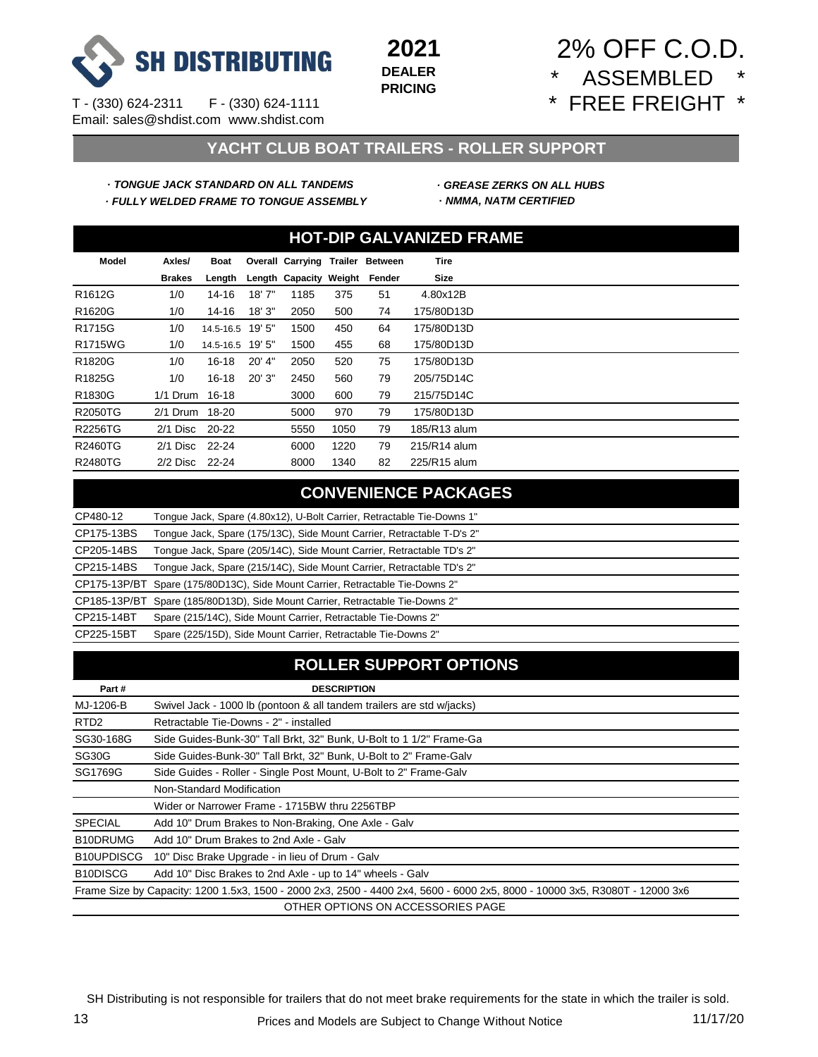

 **2021 DEALER PRICING**

 2% OFF C.O.D. ASSEMBLED \* FREE FREIGHT \*

#### **YACHT CLUB BOAT TRAILERS - ROLLER SUPPORT**

#### **·** *TONGUE JACK STANDARD ON ALL TANDEMS · GREASE ZERKS ON ALL HUBS*

 *· FULLY WELDED FRAME TO TONGUE ASSEMBLY* **·** *NMMA, NATM CERTIFIED*

| <b>HOT-DIP GALVANIZED FRAME</b> |           |                                                                  |                        |      |         |                                                           |  |  |
|---------------------------------|-----------|------------------------------------------------------------------|------------------------|------|---------|-----------------------------------------------------------|--|--|
| Axles/                          | Boat      |                                                                  |                        |      | Between | <b>Tire</b>                                               |  |  |
| <b>Brakes</b>                   | Length    |                                                                  |                        |      | Fender  | Size                                                      |  |  |
| 1/0                             | $14 - 16$ | 18'7''                                                           | 1185                   | 375  | 51      | 4.80x12B                                                  |  |  |
| 1/0                             | 14-16     | 18'3''                                                           | 2050                   | 500  | 74      | 175/80D13D                                                |  |  |
| 1/0                             |           | 19' 5"                                                           | 1500                   | 450  | 64      | 175/80D13D                                                |  |  |
| 1/0                             |           | 19' 5"                                                           | 1500                   | 455  | 68      | 175/80D13D                                                |  |  |
| 1/0                             | $16 - 18$ | 20' 4"                                                           | 2050                   | 520  | 75      | 175/80D13D                                                |  |  |
| 1/0                             | $16 - 18$ | 20'3"                                                            | 2450                   | 560  | 79      | 205/75D14C                                                |  |  |
|                                 | $16 - 18$ |                                                                  | 3000                   | 600  | 79      | 215/75D14C                                                |  |  |
|                                 | 18-20     |                                                                  | 5000                   | 970  | 79      | 175/80D13D                                                |  |  |
|                                 | $20 - 22$ |                                                                  | 5550                   | 1050 | 79      | 185/R13 alum                                              |  |  |
|                                 | $22 - 24$ |                                                                  | 6000                   | 1220 | 79      | 215/R14 alum                                              |  |  |
|                                 | 22-24     |                                                                  | 8000                   | 1340 | 82      | 225/R15 alum                                              |  |  |
|                                 |           | $1/1$ Drum<br>$2/1$ Drum<br>$2/1$ Disc<br>$2/1$ Disc<br>2/2 Disc | 14.5-16.5<br>14.5-16.5 |      |         | <b>Overall Carrying Trailer</b><br>Length Capacity Weight |  |  |

#### **CONVENIENCE PACKAGES**

| CP480-12   | Tonque Jack, Spare (4.80x12), U-Bolt Carrier, Retractable Tie-Downs 1"        |
|------------|-------------------------------------------------------------------------------|
| CP175-13BS | Tongue Jack, Spare (175/13C), Side Mount Carrier, Retractable T-D's 2"        |
| CP205-14BS | Tonque Jack, Spare (205/14C), Side Mount Carrier, Retractable TD's 2"         |
| CP215-14BS | Tongue Jack, Spare (215/14C), Side Mount Carrier, Retractable TD's 2"         |
|            | CP175-13P/BT Spare (175/80D13C), Side Mount Carrier, Retractable Tie-Downs 2" |
|            | CP185-13P/BT Spare (185/80D13D), Side Mount Carrier, Retractable Tie-Downs 2" |
| CP215-14BT | Spare (215/14C), Side Mount Carrier, Retractable Tie-Downs 2"                 |
| CP225-15BT | Spare (225/15D), Side Mount Carrier, Retractable Tie-Downs 2"                 |

#### **ROLLER SUPPORT OPTIONS**

| Part#                 | <b>DESCRIPTION</b>                                                                                                          |  |  |  |  |  |
|-----------------------|-----------------------------------------------------------------------------------------------------------------------------|--|--|--|--|--|
| MJ-1206-B             | Swivel Jack - 1000 lb (pontoon & all tandem trailers are std w/jacks)                                                       |  |  |  |  |  |
| RTD <sub>2</sub>      | Retractable Tie-Downs - 2" - installed                                                                                      |  |  |  |  |  |
| SG30-168G             | Side Guides-Bunk-30" Tall Brkt. 32" Bunk. U-Bolt to 1 1/2" Frame-Ga                                                         |  |  |  |  |  |
| SG30G                 | Side Guides-Bunk-30" Tall Brkt, 32" Bunk, U-Bolt to 2" Frame-Galv                                                           |  |  |  |  |  |
| SG1769G               | Side Guides - Roller - Single Post Mount, U-Bolt to 2" Frame-Galv                                                           |  |  |  |  |  |
|                       | Non-Standard Modification                                                                                                   |  |  |  |  |  |
|                       | Wider or Narrower Frame - 1715BW thru 2256TBP                                                                               |  |  |  |  |  |
| <b>SPECIAL</b>        | Add 10" Drum Brakes to Non-Braking, One Axle - Galv                                                                         |  |  |  |  |  |
| B10DRUMG              | Add 10" Drum Brakes to 2nd Axle - Galv                                                                                      |  |  |  |  |  |
| B10UPDISCG            | 10" Disc Brake Upgrade - in lieu of Drum - Galv                                                                             |  |  |  |  |  |
| B <sub>10</sub> DISCG | Add 10" Disc Brakes to 2nd Axle - up to 14" wheels - Galv                                                                   |  |  |  |  |  |
|                       | Frame Size by Capacity: 1200 1.5x3, 1500 - 2000 2x3, 2500 - 4400 2x4, 5600 - 6000 2x5, 8000 - 10000 3x5, R3080T - 12000 3x6 |  |  |  |  |  |
|                       | OTHER OPTIONS ON ACCESSORIES PAGE                                                                                           |  |  |  |  |  |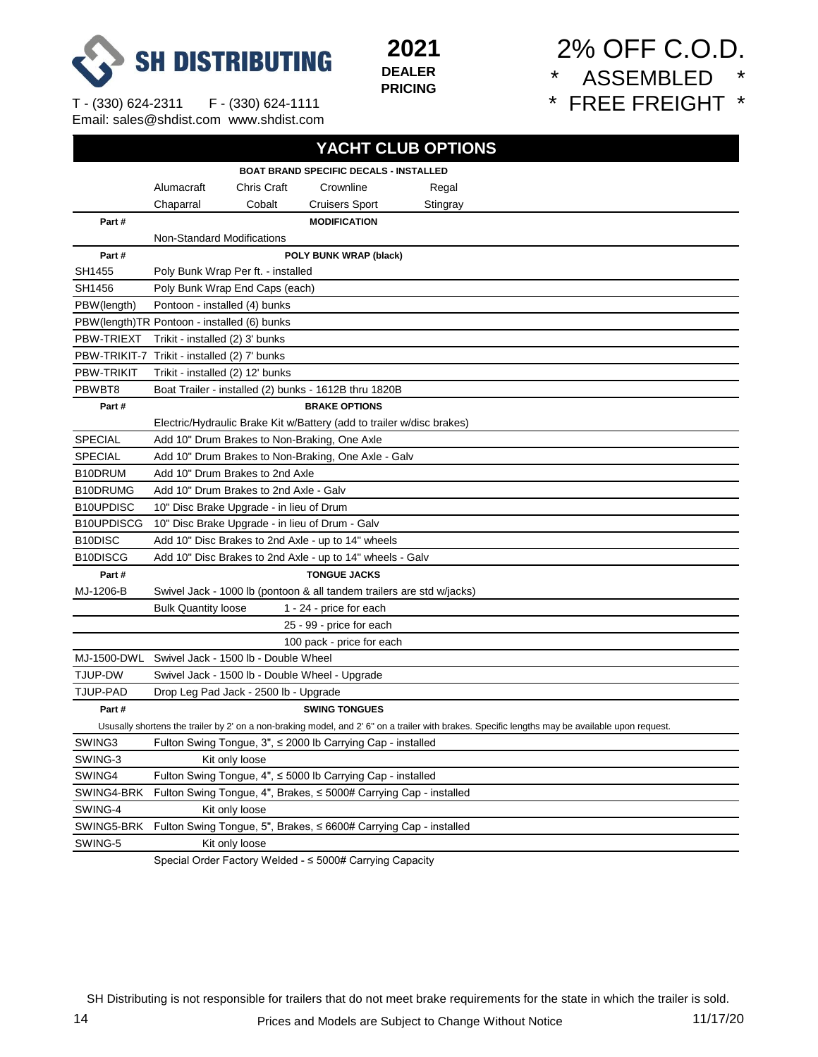

 **2021 DEALER PRICING**

 2% OFF C.O.D. \* ASSEMBLED \* \* FREE FREIGHT \*

|                                              |                                          |                                       |                                                                       | <b>YACHT CLUB OPTIONS</b> |                                                                                                                                                 |
|----------------------------------------------|------------------------------------------|---------------------------------------|-----------------------------------------------------------------------|---------------------------|-------------------------------------------------------------------------------------------------------------------------------------------------|
|                                              |                                          |                                       | BOAT BRAND SPECIFIC DECALS - INSTALLED                                |                           |                                                                                                                                                 |
|                                              | Alumacraft                               | Chris Craft                           | Crownline                                                             | Regal                     |                                                                                                                                                 |
|                                              | Chaparral                                | Cobalt                                | <b>Cruisers Sport</b>                                                 | Stingray                  |                                                                                                                                                 |
| Part#                                        |                                          |                                       | <b>MODIFICATION</b>                                                   |                           |                                                                                                                                                 |
|                                              | <b>Non-Standard Modifications</b>        |                                       |                                                                       |                           |                                                                                                                                                 |
| Part#                                        |                                          |                                       | POLY BUNK WRAP (black)                                                |                           |                                                                                                                                                 |
| SH1455                                       |                                          | Poly Bunk Wrap Per ft. - installed    |                                                                       |                           |                                                                                                                                                 |
| SH1456                                       | Poly Bunk Wrap End Caps (each)           |                                       |                                                                       |                           |                                                                                                                                                 |
| PBW(length)                                  | Pontoon - installed (4) bunks            |                                       |                                                                       |                           |                                                                                                                                                 |
| PBW(length)TR Pontoon - installed (6) bunks  |                                          |                                       |                                                                       |                           |                                                                                                                                                 |
| PBW-TRIEXT                                   | Trikit - installed (2) 3' bunks          |                                       |                                                                       |                           |                                                                                                                                                 |
| PBW-TRIKIT-7 Trikit - installed (2) 7' bunks |                                          |                                       |                                                                       |                           |                                                                                                                                                 |
| <b>PBW-TRIKIT</b>                            | Trikit - installed (2) 12' bunks         |                                       |                                                                       |                           |                                                                                                                                                 |
| PBWBT8                                       |                                          |                                       | Boat Trailer - installed (2) bunks - 1612B thru 1820B                 |                           |                                                                                                                                                 |
| Part#                                        |                                          |                                       | <b>BRAKE OPTIONS</b>                                                  |                           |                                                                                                                                                 |
|                                              |                                          |                                       | Electric/Hydraulic Brake Kit w/Battery (add to trailer w/disc brakes) |                           |                                                                                                                                                 |
| <b>SPECIAL</b>                               |                                          |                                       | Add 10" Drum Brakes to Non-Braking, One Axle                          |                           |                                                                                                                                                 |
| <b>SPECIAL</b>                               |                                          |                                       | Add 10" Drum Brakes to Non-Braking, One Axle - Galv                   |                           |                                                                                                                                                 |
| B10DRUM                                      | Add 10" Drum Brakes to 2nd Axle          |                                       |                                                                       |                           |                                                                                                                                                 |
| B10DRUMG                                     | Add 10" Drum Brakes to 2nd Axle - Galv   |                                       |                                                                       |                           |                                                                                                                                                 |
| B <sub>10</sub> UPDISC                       | 10" Disc Brake Upgrade - in lieu of Drum |                                       |                                                                       |                           |                                                                                                                                                 |
| B10UPDISCG                                   |                                          |                                       | 10" Disc Brake Upgrade - in lieu of Drum - Galv                       |                           |                                                                                                                                                 |
| B <sub>10</sub> DISC                         |                                          |                                       | Add 10" Disc Brakes to 2nd Axle - up to 14" wheels                    |                           |                                                                                                                                                 |
| B10DISCG                                     |                                          |                                       | Add 10" Disc Brakes to 2nd Axle - up to 14" wheels - Galv             |                           |                                                                                                                                                 |
| Part#                                        |                                          |                                       | <b>TONGUE JACKS</b>                                                   |                           |                                                                                                                                                 |
| MJ-1206-B                                    |                                          |                                       | Swivel Jack - 1000 lb (pontoon & all tandem trailers are std w/jacks) |                           |                                                                                                                                                 |
|                                              | <b>Bulk Quantity loose</b>               |                                       | 1 - 24 - price for each                                               |                           |                                                                                                                                                 |
|                                              |                                          |                                       | 25 - 99 - price for each                                              |                           |                                                                                                                                                 |
|                                              |                                          |                                       | 100 pack - price for each                                             |                           |                                                                                                                                                 |
| MJ-1500-DWL                                  | Swivel Jack - 1500 lb - Double Wheel     |                                       |                                                                       |                           |                                                                                                                                                 |
| TJUP-DW                                      |                                          |                                       | Swivel Jack - 1500 lb - Double Wheel - Upgrade                        |                           |                                                                                                                                                 |
| TJUP-PAD                                     |                                          | Drop Leg Pad Jack - 2500 lb - Upgrade |                                                                       |                           |                                                                                                                                                 |
| Part#                                        |                                          |                                       | <b>SWING TONGUES</b>                                                  |                           |                                                                                                                                                 |
|                                              |                                          |                                       |                                                                       |                           | Ususally shortens the trailer by 2' on a non-braking model, and 2' 6" on a trailer with brakes. Specific lengths may be available upon request. |
| SWING3                                       |                                          |                                       | Fulton Swing Tongue, $3$ ", $\leq$ 2000 lb Carrying Cap - installed   |                           |                                                                                                                                                 |
| SWING-3                                      |                                          | Kit only loose                        |                                                                       |                           |                                                                                                                                                 |
| SWING4                                       |                                          |                                       | Fulton Swing Tongue, 4", ≤ 5000 lb Carrying Cap - installed           |                           |                                                                                                                                                 |
| SWING4-BRK                                   |                                          |                                       | Fulton Swing Tongue, 4", Brakes, ≤ 5000# Carrying Cap - installed     |                           |                                                                                                                                                 |
| SWING-4                                      |                                          | Kit only loose                        |                                                                       |                           |                                                                                                                                                 |
| SWING5-BRK                                   |                                          |                                       | Fulton Swing Tongue, 5", Brakes, ≤ 6600# Carrying Cap - installed     |                           |                                                                                                                                                 |
| SWING-5                                      |                                          | Kit only loose                        |                                                                       |                           |                                                                                                                                                 |

Special Order Factory Welded - ≤ 5000# Carrying Capacity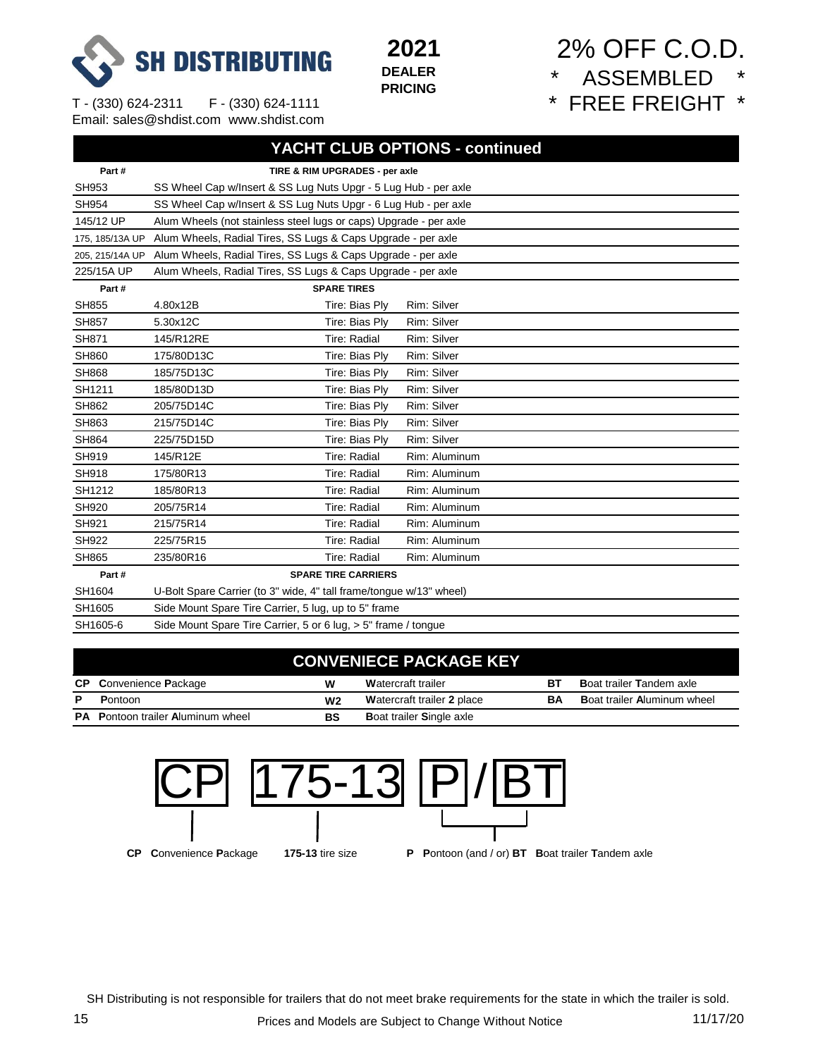

 2% OFF C.O.D. \* ASSEMBLED \* \* FREE FREIGHT \*

T - (330) 624-2311 F - (330) 624-1111 Email: sales@shdist.com www.shdist.com

|                                                                     |                     | <b>YACHT CLUB OPTIONS - continued</b>                                                                                                                                                                                                                                                                                                                                                                                                                          |  |  |  |  |  |  |  |
|---------------------------------------------------------------------|---------------------|----------------------------------------------------------------------------------------------------------------------------------------------------------------------------------------------------------------------------------------------------------------------------------------------------------------------------------------------------------------------------------------------------------------------------------------------------------------|--|--|--|--|--|--|--|
|                                                                     |                     |                                                                                                                                                                                                                                                                                                                                                                                                                                                                |  |  |  |  |  |  |  |
| SS Wheel Cap w/Insert & SS Lug Nuts Upgr - 5 Lug Hub - per axle     |                     |                                                                                                                                                                                                                                                                                                                                                                                                                                                                |  |  |  |  |  |  |  |
|                                                                     |                     |                                                                                                                                                                                                                                                                                                                                                                                                                                                                |  |  |  |  |  |  |  |
|                                                                     |                     |                                                                                                                                                                                                                                                                                                                                                                                                                                                                |  |  |  |  |  |  |  |
| 175, 185/13A UP                                                     |                     |                                                                                                                                                                                                                                                                                                                                                                                                                                                                |  |  |  |  |  |  |  |
|                                                                     |                     |                                                                                                                                                                                                                                                                                                                                                                                                                                                                |  |  |  |  |  |  |  |
|                                                                     |                     |                                                                                                                                                                                                                                                                                                                                                                                                                                                                |  |  |  |  |  |  |  |
|                                                                     |                     |                                                                                                                                                                                                                                                                                                                                                                                                                                                                |  |  |  |  |  |  |  |
| 4.80x12B                                                            | Tire: Bias Ply      | Rim: Silver                                                                                                                                                                                                                                                                                                                                                                                                                                                    |  |  |  |  |  |  |  |
| 5.30x12C                                                            | Tire: Bias Ply      | Rim: Silver                                                                                                                                                                                                                                                                                                                                                                                                                                                    |  |  |  |  |  |  |  |
| 145/R12RE                                                           | <b>Tire: Radial</b> | Rim: Silver                                                                                                                                                                                                                                                                                                                                                                                                                                                    |  |  |  |  |  |  |  |
| 175/80D13C                                                          | Tire: Bias Ply      | Rim: Silver                                                                                                                                                                                                                                                                                                                                                                                                                                                    |  |  |  |  |  |  |  |
| 185/75D13C                                                          | Tire: Bias Ply      | Rim: Silver                                                                                                                                                                                                                                                                                                                                                                                                                                                    |  |  |  |  |  |  |  |
| 185/80D13D                                                          | Tire: Bias Ply      | Rim: Silver                                                                                                                                                                                                                                                                                                                                                                                                                                                    |  |  |  |  |  |  |  |
| 205/75D14C                                                          | Tire: Bias Ply      | Rim: Silver                                                                                                                                                                                                                                                                                                                                                                                                                                                    |  |  |  |  |  |  |  |
| 215/75D14C                                                          | Tire: Bias Ply      | Rim: Silver                                                                                                                                                                                                                                                                                                                                                                                                                                                    |  |  |  |  |  |  |  |
| 225/75D15D                                                          | Tire: Bias Ply      | Rim: Silver                                                                                                                                                                                                                                                                                                                                                                                                                                                    |  |  |  |  |  |  |  |
| 145/R12E                                                            | <b>Tire: Radial</b> | Rim: Aluminum                                                                                                                                                                                                                                                                                                                                                                                                                                                  |  |  |  |  |  |  |  |
| 175/80R13                                                           | <b>Tire: Radial</b> | Rim: Aluminum                                                                                                                                                                                                                                                                                                                                                                                                                                                  |  |  |  |  |  |  |  |
| 185/80R13                                                           | <b>Tire: Radial</b> | Rim: Aluminum                                                                                                                                                                                                                                                                                                                                                                                                                                                  |  |  |  |  |  |  |  |
| 205/75R14                                                           | <b>Tire: Radial</b> | Rim: Aluminum                                                                                                                                                                                                                                                                                                                                                                                                                                                  |  |  |  |  |  |  |  |
| 215/75R14                                                           | Tire: Radial        | Rim: Aluminum                                                                                                                                                                                                                                                                                                                                                                                                                                                  |  |  |  |  |  |  |  |
| 225/75R15                                                           | <b>Tire: Radial</b> | Rim: Aluminum                                                                                                                                                                                                                                                                                                                                                                                                                                                  |  |  |  |  |  |  |  |
| 235/80R16                                                           | <b>Tire: Radial</b> | Rim: Aluminum                                                                                                                                                                                                                                                                                                                                                                                                                                                  |  |  |  |  |  |  |  |
| <b>SPARE TIRE CARRIERS</b>                                          |                     |                                                                                                                                                                                                                                                                                                                                                                                                                                                                |  |  |  |  |  |  |  |
| U-Bolt Spare Carrier (to 3" wide, 4" tall frame/tongue w/13" wheel) |                     |                                                                                                                                                                                                                                                                                                                                                                                                                                                                |  |  |  |  |  |  |  |
| Side Mount Spare Tire Carrier, 5 lug, up to 5" frame                |                     |                                                                                                                                                                                                                                                                                                                                                                                                                                                                |  |  |  |  |  |  |  |
|                                                                     |                     |                                                                                                                                                                                                                                                                                                                                                                                                                                                                |  |  |  |  |  |  |  |
|                                                                     |                     | TIRE & RIM UPGRADES - per axle<br>SS Wheel Cap w/Insert & SS Lug Nuts Upgr - 6 Lug Hub - per axle<br>Alum Wheels (not stainless steel lugs or caps) Upgrade - per axle<br>Alum Wheels, Radial Tires, SS Lugs & Caps Upgrade - per axle<br>Alum Wheels, Radial Tires, SS Lugs & Caps Upgrade - per axle<br>Alum Wheels, Radial Tires, SS Lugs & Caps Upgrade - per axle<br><b>SPARE TIRES</b><br>Side Mount Spare Tire Carrier, 5 or 6 lug, > 5" frame / tongue |  |  |  |  |  |  |  |

#### **CONVENIECE PACKAGE KEY**

|   | <b>CP</b> Convenience Package            | w              | Watercraft trailer              | BТ | <b>Boat trailer Tandem axle</b>    |
|---|------------------------------------------|----------------|---------------------------------|----|------------------------------------|
| P | Pontoon                                  | W <sub>2</sub> | Watercraft trailer 2 place      | BА | <b>Boat trailer Aluminum wheel</b> |
|   | <b>PA</b> Pontoon trailer Aluminum wheel | BS             | <b>Boat trailer Single axle</b> |    |                                    |

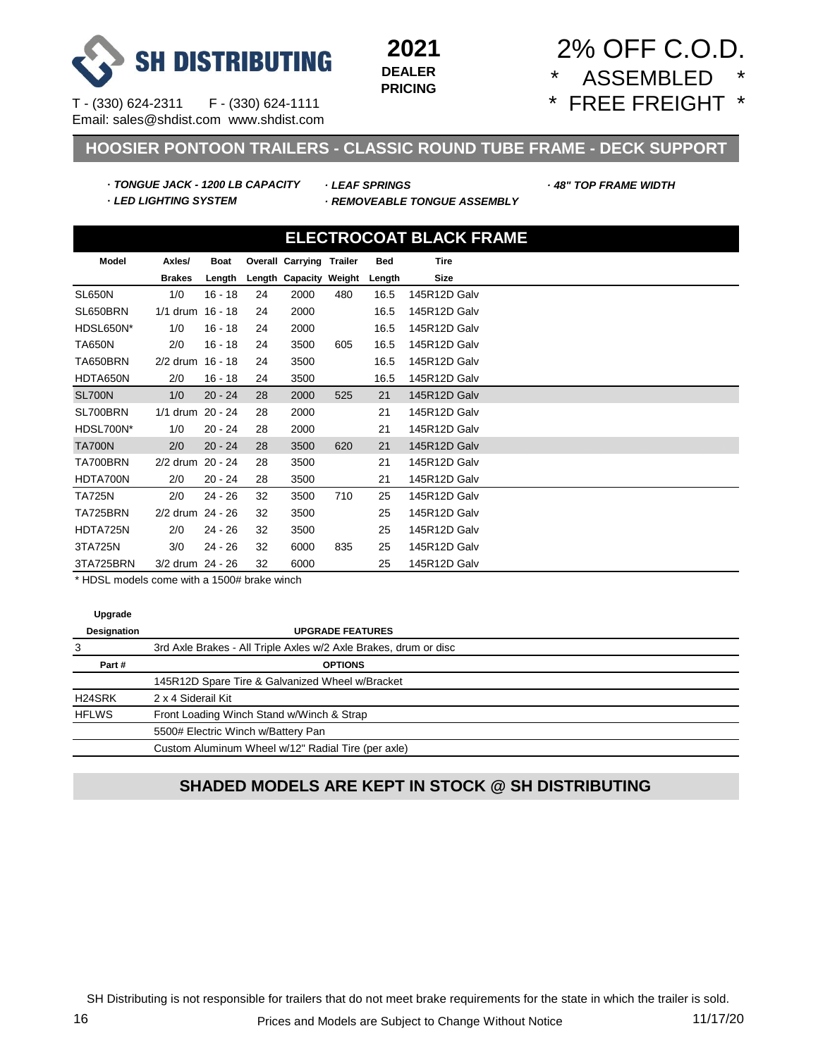

## 2% OFF C.O.D. ASSEMBLED

\* FREE FREIGHT \*

T - (330) 624-2311 F - (330) 624-1111 Email: sales@shdist.com www.shdist.com

### **HOOSIER PONTOON TRAILERS - CLASSIC ROUND TUBE FRAME - DECK SUPPORT**

- **·** *TONGUE JACK 1200 LB CAPACITY · LEAF SPRINGS · 48" TOP FRAME WIDTH* **·** *LED LIGHTING SYSTEM · REMOVEABLE TONGUE ASSEMBLY*
	-
- 

| <b>ELECTROCOAT BLACK FRAME</b> |                  |             |    |                                 |     |            |              |  |
|--------------------------------|------------------|-------------|----|---------------------------------|-----|------------|--------------|--|
| <b>Model</b>                   | Axles/           | <b>Boat</b> |    | <b>Overall Carrying Trailer</b> |     | <b>Bed</b> | <b>Tire</b>  |  |
|                                | <b>Brakes</b>    | Length      |    | Length Capacity Weight          |     | Length     | Size         |  |
| SL650N                         | 1/0              | $16 - 18$   | 24 | 2000                            | 480 | 16.5       | 145R12D Galv |  |
| SL650BRN                       | $1/1$ drum       | $16 - 18$   | 24 | 2000                            |     | 16.5       | 145R12D Galv |  |
| HDSL650N*                      | 1/0              | $16 - 18$   | 24 | 2000                            |     | 16.5       | 145R12D Galv |  |
| <b>TA650N</b>                  | 2/0              | $16 - 18$   | 24 | 3500                            | 605 | 16.5       | 145R12D Galv |  |
| TA650BRN                       | 2/2 drum 16 - 18 |             | 24 | 3500                            |     | 16.5       | 145R12D Galv |  |
| HDTA650N                       | 2/0              | $16 - 18$   | 24 | 3500                            |     | 16.5       | 145R12D Galv |  |
| <b>SL700N</b>                  | 1/0              | $20 - 24$   | 28 | 2000                            | 525 | 21         | 145R12D Galv |  |
| SL700BRN                       | $1/1$ drum       | $20 - 24$   | 28 | 2000                            |     | 21         | 145R12D Galv |  |
| HDSL700N*                      | 1/0              | $20 - 24$   | 28 | 2000                            |     | 21         | 145R12D Galv |  |
| <b>TA700N</b>                  | 2/0              | $20 - 24$   | 28 | 3500                            | 620 | 21         | 145R12D Galv |  |
| TA700BRN                       | $2/2$ drum       | $20 - 24$   | 28 | 3500                            |     | 21         | 145R12D Galv |  |
| HDTA700N                       | 2/0              | $20 - 24$   | 28 | 3500                            |     | 21         | 145R12D Galv |  |
| <b>TA725N</b>                  | 2/0              | $24 - 26$   | 32 | 3500                            | 710 | 25         | 145R12D Galv |  |
| TA725BRN                       | 2/2 drum 24 - 26 |             | 32 | 3500                            |     | 25         | 145R12D Galv |  |
| HDTA725N                       | 2/0              | $24 - 26$   | 32 | 3500                            |     | 25         | 145R12D Galv |  |
| 3TA725N                        | 3/0              | $24 - 26$   | 32 | 6000                            | 835 | 25         | 145R12D Galv |  |
| 3TA725BRN                      | 3/2 drum 24 - 26 |             | 32 | 6000                            |     | 25         | 145R12D Galv |  |

\* HDSL models come with a 1500# brake winch

| г |  |
|---|--|
|---|--|

| Upgrade            |                                                                  |
|--------------------|------------------------------------------------------------------|
| <b>Designation</b> | <b>UPGRADE FEATURES</b>                                          |
|                    | 3rd Axle Brakes - All Triple Axles w/2 Axle Brakes, drum or disc |
| Part#              | <b>OPTIONS</b>                                                   |
|                    | 145R12D Spare Tire & Galvanized Wheel w/Bracket                  |
| H24SRK             | 2 x 4 Siderail Kit                                               |
| HFLWS              | Front Loading Winch Stand w/Winch & Strap                        |
|                    | 5500# Electric Winch w/Battery Pan                               |
|                    | Custom Aluminum Wheel w/12" Radial Tire (per axle)               |
|                    |                                                                  |

#### **SHADED MODELS ARE KEPT IN STOCK @ SH DISTRIBUTING**

SH Distributing is not responsible for trailers that do not meet brake requirements for the state in which the trailer is sold.

 $\overline{a}$  $\overline{\phantom{0}}$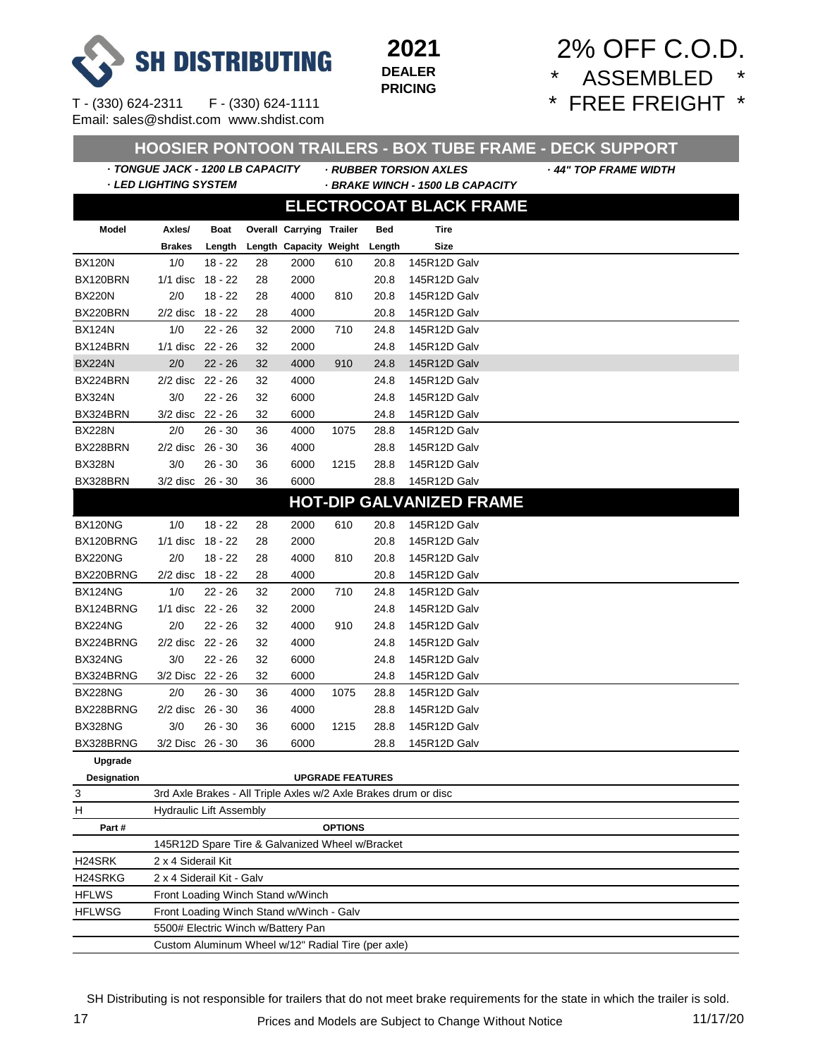

#### **2021 DEALER PRICING**

 2% OFF C.O.D. \* ASSEMBLED \* \* FREE FREIGHT \*

| 「 HOOSIER PONTOON TRAILERS - BOX TUBE FRAME - DECK SUPPORT」 |  |
|-------------------------------------------------------------|--|
|-------------------------------------------------------------|--|

**·** *LED LIGHTING SYSTEM · BRAKE WINCH - 1500 LB CAPACITY*

**ELECTROCOAT BLACK FRAME**

**·** *TONGUE JACK - 1200 LB CAPACITY · RUBBER TORSION AXLES · 44" TOP FRAME WIDTH*

| Model               | Axles/                                             | Boat      |    | <b>Overall Carrying Trailer</b> |                         | <b>Bed</b> | <b>Tire</b>                                                     |  |  |
|---------------------|----------------------------------------------------|-----------|----|---------------------------------|-------------------------|------------|-----------------------------------------------------------------|--|--|
|                     | <b>Brakes</b>                                      | Length    |    | Length Capacity Weight          |                         | Length     | <b>Size</b>                                                     |  |  |
| <b>BX120N</b>       | 1/0                                                | $18 - 22$ | 28 | 2000                            | 610                     | 20.8       | 145R12D Galv                                                    |  |  |
| BX120BRN            | $1/1$ disc                                         | 18 - 22   | 28 | 2000                            |                         | 20.8       | 145R12D Galv                                                    |  |  |
| <b>BX220N</b>       | 2/0                                                | $18 - 22$ | 28 | 4000                            | 810                     | 20.8       | 145R12D Galv                                                    |  |  |
| BX220BRN            | $2/2$ disc                                         | 18 - 22   | 28 | 4000                            |                         | 20.8       | 145R12D Galv                                                    |  |  |
| <b>BX124N</b>       | 1/0                                                | $22 - 26$ | 32 | 2000                            | 710                     | 24.8       | 145R12D Galv                                                    |  |  |
| BX124BRN            | $1/1$ disc                                         | 22 - 26   | 32 | 2000                            |                         | 24.8       | 145R12D Galv                                                    |  |  |
| <b>BX224N</b>       | 2/0                                                | $22 - 26$ | 32 | 4000                            | 910                     | 24.8       | 145R12D Galv                                                    |  |  |
| BX224BRN            | $2/2$ disc                                         | $22 - 26$ | 32 | 4000                            |                         | 24.8       | 145R12D Galv                                                    |  |  |
| <b>BX324N</b>       | 3/0                                                | $22 - 26$ | 32 | 6000                            |                         | 24.8       | 145R12D Galv                                                    |  |  |
| BX324BRN            | 3/2 disc                                           | $22 - 26$ | 32 | 6000                            |                         | 24.8       | 145R12D Galv                                                    |  |  |
| <b>BX228N</b>       | 2/0                                                | $26 - 30$ | 36 | 4000                            | 1075                    | 28.8       | 145R12D Galv                                                    |  |  |
| BX228BRN            | 2/2 disc 26 - 30                                   |           | 36 | 4000                            |                         | 28.8       | 145R12D Galv                                                    |  |  |
| <b>BX328N</b>       | 3/0                                                | $26 - 30$ | 36 | 6000                            | 1215                    | 28.8       | 145R12D Galv                                                    |  |  |
| BX328BRN            | $3/2$ disc                                         | 26 - 30   | 36 | 6000                            |                         | 28.8       | 145R12D Galv                                                    |  |  |
|                     |                                                    |           |    |                                 |                         |            | <b>HOT-DIP GALVANIZED FRAME</b>                                 |  |  |
| <b>BX120NG</b>      | 1/0                                                | $18 - 22$ | 28 | 2000                            | 610                     | 20.8       | 145R12D Galv                                                    |  |  |
| BX120BRNG           | $1/1$ disc                                         | 18 - 22   | 28 | 2000                            |                         | 20.8       | 145R12D Galv                                                    |  |  |
| <b>BX220NG</b>      | 2/0                                                | $18 - 22$ | 28 | 4000                            | 810                     | 20.8       | 145R12D Galv                                                    |  |  |
| BX220BRNG           | $2/2$ disc                                         | 18 - 22   | 28 | 4000                            |                         | 20.8       | 145R12D Galv                                                    |  |  |
| <b>BX124NG</b>      | 1/0                                                | $22 - 26$ | 32 | 2000                            | 710                     | 24.8       | 145R12D Galv                                                    |  |  |
| BX124BRNG           | $1/1$ disc                                         | 22 - 26   | 32 | 2000                            |                         | 24.8       | 145R12D Galv                                                    |  |  |
| <b>BX224NG</b>      | 2/0                                                | $22 - 26$ | 32 | 4000                            | 910                     | 24.8       | 145R12D Galv                                                    |  |  |
| BX224BRNG           | $2/2$ disc                                         | 22 - 26   | 32 | 4000                            |                         | 24.8       | 145R12D Galv                                                    |  |  |
| <b>BX324NG</b>      | 3/0                                                | $22 - 26$ | 32 | 6000                            |                         | 24.8       | 145R12D Galv                                                    |  |  |
| BX324BRNG           | 3/2 Disc 22 - 26                                   |           | 32 | 6000                            |                         | 24.8       | 145R12D Galv                                                    |  |  |
| <b>BX228NG</b>      | 2/0                                                | $26 - 30$ | 36 | 4000                            | 1075                    | 28.8       | 145R12D Galv                                                    |  |  |
| BX228BRNG           | $2/2$ disc                                         | 26 - 30   | 36 | 4000                            |                         | 28.8       | 145R12D Galv                                                    |  |  |
| <b>BX328NG</b>      | 3/0                                                | $26 - 30$ | 36 | 6000                            | 1215                    | 28.8       | 145R12D Galv                                                    |  |  |
| BX328BRNG           | 3/2 Disc 26 - 30                                   |           | 36 | 6000                            |                         | 28.8       | 145R12D Galv                                                    |  |  |
| Upgrade             |                                                    |           |    |                                 |                         |            |                                                                 |  |  |
| Designation         |                                                    |           |    |                                 | <b>UPGRADE FEATURES</b> |            |                                                                 |  |  |
| 3                   |                                                    |           |    |                                 |                         |            | 3rd Axle Brakes - All Triple Axles w/2 Axle Brakes drum or disc |  |  |
| H                   | <b>Hydraulic Lift Assembly</b>                     |           |    |                                 |                         |            |                                                                 |  |  |
| Part#               |                                                    |           |    |                                 | <b>OPTIONS</b>          |            |                                                                 |  |  |
|                     | 145R12D Spare Tire & Galvanized Wheel w/Bracket    |           |    |                                 |                         |            |                                                                 |  |  |
| H <sub>24</sub> SRK | 2 x 4 Siderail Kit                                 |           |    |                                 |                         |            |                                                                 |  |  |
| H24SRKG             | 2 x 4 Siderail Kit - Galv                          |           |    |                                 |                         |            |                                                                 |  |  |
| <b>HFLWS</b>        | Front Loading Winch Stand w/Winch                  |           |    |                                 |                         |            |                                                                 |  |  |
| <b>HFLWSG</b>       | Front Loading Winch Stand w/Winch - Galv           |           |    |                                 |                         |            |                                                                 |  |  |
|                     | 5500# Electric Winch w/Battery Pan                 |           |    |                                 |                         |            |                                                                 |  |  |
|                     | Custom Aluminum Wheel w/12" Radial Tire (per axle) |           |    |                                 |                         |            |                                                                 |  |  |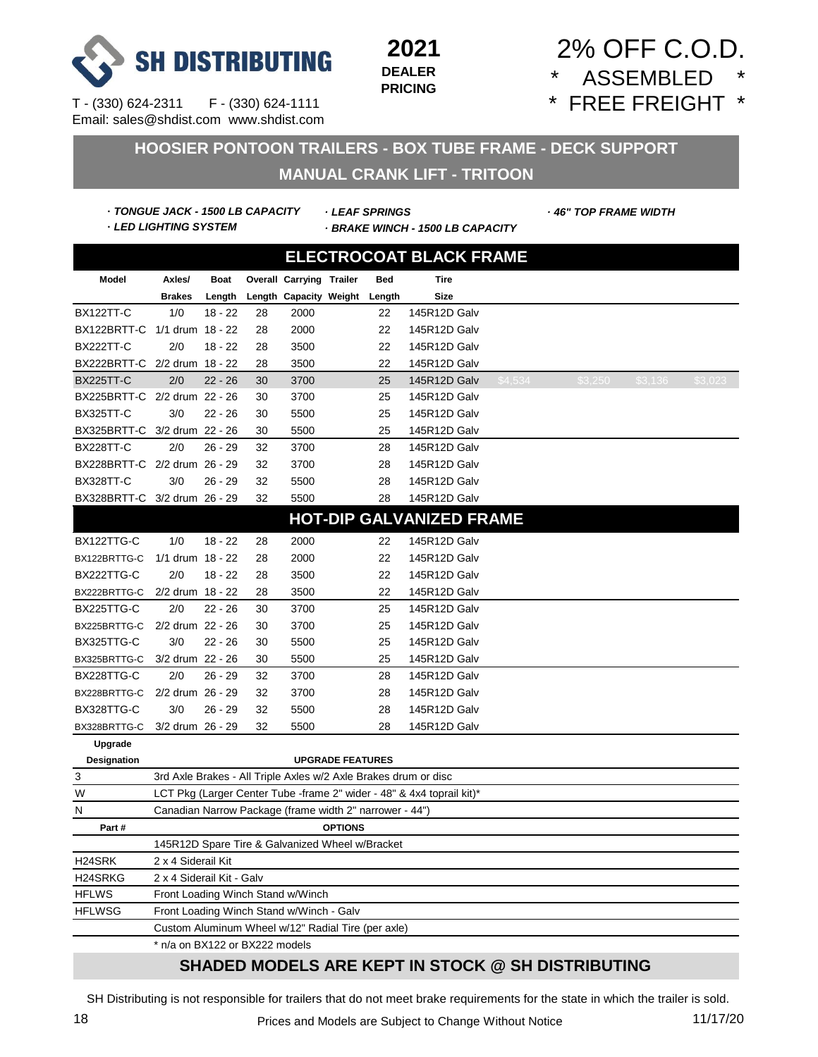

#### **2021 DEALER PRICING**

## 2% OFF C.O.D. ASSEMBLED \* FREE FREIGHT \*

**HOOSIER PONTOON TRAILERS - BOX TUBE FRAME - DECK SUPPORT MANUAL CRANK LIFT - TRITOON**

**·** *TONGUE JACK - 1500 LB CAPACITY · LEAF SPRINGS · 46" TOP FRAME WIDTH* **·** *LED LIGHTING SYSTEM · BRAKE WINCH - 1500 LB CAPACITY*

| <b>ELECTROCOAT BLACK FRAME</b>  |                                                                 |                                                                       |    |                                 |                         |            |              |         |  |         |         |         |
|---------------------------------|-----------------------------------------------------------------|-----------------------------------------------------------------------|----|---------------------------------|-------------------------|------------|--------------|---------|--|---------|---------|---------|
| Model                           | Axles/                                                          | <b>Boat</b>                                                           |    | <b>Overall Carrying Trailer</b> |                         | <b>Bed</b> | <b>Tire</b>  |         |  |         |         |         |
|                                 | <b>Brakes</b>                                                   | Length                                                                |    | Length Capacity Weight Length   |                         |            | <b>Size</b>  |         |  |         |         |         |
| BX122TT-C                       | 1/0                                                             | $18 - 22$                                                             | 28 | 2000                            |                         | 22         | 145R12D Galv |         |  |         |         |         |
| BX122BRTT-C 1/1 drum 18 - 22    |                                                                 |                                                                       | 28 | 2000                            |                         | 22         | 145R12D Galv |         |  |         |         |         |
| <b>BX222TT-C</b>                | 2/0                                                             | $18 - 22$                                                             | 28 | 3500                            |                         | 22         | 145R12D Galv |         |  |         |         |         |
| BX222BRTT-C 2/2 drum 18 - 22    |                                                                 |                                                                       | 28 | 3500                            |                         | 22         | 145R12D Galv |         |  |         |         |         |
| <b>BX225TT-C</b>                | 2/0                                                             | $22 - 26$                                                             | 30 | 3700                            |                         | 25         | 145R12D Galv | \$4,534 |  | \$3,250 | \$3,136 | \$3,023 |
| BX225BRTT-C 2/2 drum 22 - 26    |                                                                 |                                                                       | 30 | 3700                            |                         | 25         | 145R12D Galv |         |  |         |         |         |
| BX325TT-C                       | 3/0                                                             | $22 - 26$                                                             | 30 | 5500                            |                         | 25         | 145R12D Galv |         |  |         |         |         |
| BX325BRTT-C 3/2 drum 22 - 26    |                                                                 |                                                                       | 30 | 5500                            |                         | 25         | 145R12D Galv |         |  |         |         |         |
| <b>BX228TT-C</b>                | 2/0                                                             | $26 - 29$                                                             | 32 | 3700                            |                         | 28         | 145R12D Galv |         |  |         |         |         |
| BX228BRTT-C 2/2 drum 26 - 29    |                                                                 |                                                                       | 32 | 3700                            |                         | 28         | 145R12D Galv |         |  |         |         |         |
| BX328TT-C                       | 3/0                                                             | $26 - 29$                                                             | 32 | 5500                            |                         | 28         | 145R12D Galv |         |  |         |         |         |
| BX328BRTT-C 3/2 drum 26 - 29    |                                                                 |                                                                       | 32 | 5500                            |                         | 28         | 145R12D Galv |         |  |         |         |         |
| <b>HOT-DIP GALVANIZED FRAME</b> |                                                                 |                                                                       |    |                                 |                         |            |              |         |  |         |         |         |
| BX122TTG-C                      | 1/0                                                             | $18 - 22$                                                             | 28 | 2000                            |                         | 22         | 145R12D Galv |         |  |         |         |         |
| BX122BRTTG-C                    | 1/1 drum 18 - 22                                                |                                                                       | 28 | 2000                            |                         | 22         | 145R12D Galv |         |  |         |         |         |
| BX222TTG-C                      | 2/0                                                             | $18 - 22$                                                             | 28 | 3500                            |                         | 22         | 145R12D Galv |         |  |         |         |         |
| BX222BRTTG-C                    | 2/2 drum 18 - 22                                                |                                                                       | 28 | 3500                            |                         | 22         | 145R12D Galv |         |  |         |         |         |
| BX225TTG-C                      | 2/0                                                             | $22 - 26$                                                             | 30 | 3700                            |                         | 25         | 145R12D Galv |         |  |         |         |         |
| BX225BRTTG-C                    | 2/2 drum 22 - 26                                                |                                                                       | 30 | 3700                            |                         | 25         | 145R12D Galv |         |  |         |         |         |
| BX325TTG-C                      | 3/0                                                             | $22 - 26$                                                             | 30 | 5500                            |                         | 25         | 145R12D Galv |         |  |         |         |         |
| BX325BRTTG-C                    | 3/2 drum 22 - 26                                                |                                                                       | 30 | 5500                            |                         | 25         | 145R12D Galv |         |  |         |         |         |
| BX228TTG-C                      | 2/0                                                             | $26 - 29$                                                             | 32 | 3700                            |                         | 28         | 145R12D Galv |         |  |         |         |         |
| BX228BRTTG-C                    | 2/2 drum 26 - 29                                                |                                                                       | 32 | 3700                            |                         | 28         | 145R12D Galv |         |  |         |         |         |
| BX328TTG-C                      | 3/0                                                             | $26 - 29$                                                             | 32 | 5500                            |                         | 28         | 145R12D Galv |         |  |         |         |         |
| BX328BRTTG-C                    | 3/2 drum 26 - 29                                                |                                                                       | 32 | 5500                            |                         | 28         | 145R12D Galv |         |  |         |         |         |
| Upgrade                         |                                                                 |                                                                       |    |                                 |                         |            |              |         |  |         |         |         |
| Designation                     |                                                                 |                                                                       |    |                                 | <b>UPGRADE FEATURES</b> |            |              |         |  |         |         |         |
| 3                               | 3rd Axle Brakes - All Triple Axles w/2 Axle Brakes drum or disc |                                                                       |    |                                 |                         |            |              |         |  |         |         |         |
| W                               |                                                                 | LCT Pkg (Larger Center Tube -frame 2" wider - 48" & 4x4 toprail kit)* |    |                                 |                         |            |              |         |  |         |         |         |
| N                               | Canadian Narrow Package (frame width 2" narrower - 44")         |                                                                       |    |                                 |                         |            |              |         |  |         |         |         |
| Part#                           | <b>OPTIONS</b>                                                  |                                                                       |    |                                 |                         |            |              |         |  |         |         |         |
|                                 | 145R12D Spare Tire & Galvanized Wheel w/Bracket                 |                                                                       |    |                                 |                         |            |              |         |  |         |         |         |
| H <sub>24</sub> SRK             | 2 x 4 Siderail Kit                                              |                                                                       |    |                                 |                         |            |              |         |  |         |         |         |
| H24SRKG                         | 2 x 4 Siderail Kit - Galv                                       |                                                                       |    |                                 |                         |            |              |         |  |         |         |         |
| <b>HFLWS</b>                    | Front Loading Winch Stand w/Winch                               |                                                                       |    |                                 |                         |            |              |         |  |         |         |         |
| <b>HFLWSG</b>                   | Front Loading Winch Stand w/Winch - Galv                        |                                                                       |    |                                 |                         |            |              |         |  |         |         |         |
|                                 | Custom Aluminum Wheel w/12" Radial Tire (per axle)              |                                                                       |    |                                 |                         |            |              |         |  |         |         |         |
|                                 | * n/a on BX122 or BX222 models                                  |                                                                       |    |                                 |                         |            |              |         |  |         |         |         |

#### **SHADED MODELS ARE KEPT IN STOCK @ SH DISTRIBUTING**

SH Distributing is not responsible for trailers that do not meet brake requirements for the state in which the trailer is sold.

Prices and Models are Subject to Change Without Notice 11/17/20